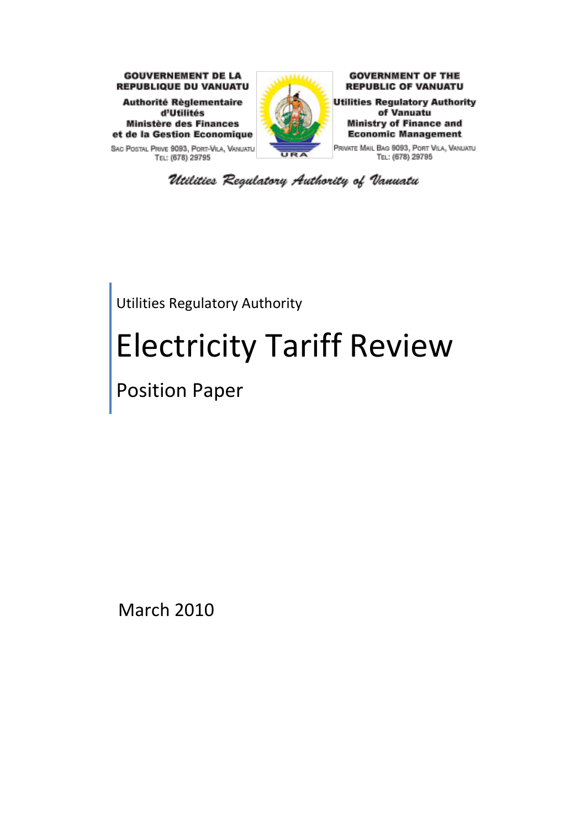

SAC POSTAL PRIVE 9093, PORT-VILA, VANUATU TEL: (678) 29795



**GOVERNMENT OF THE REPUBLIC OF VANUATU** 

**Utilities Regulatory Authority** of Vanuatu **Ministry of Finance and Economic Management** 

PRIVATE MAIL BAG 9093, PORT VILA, VANUATU TEL: (678) 29795

Utilities Regulatory Authority of Vanuatu

Utilities Regulatory Authority

# Electricity Tariff Review

Position Paper

March 2010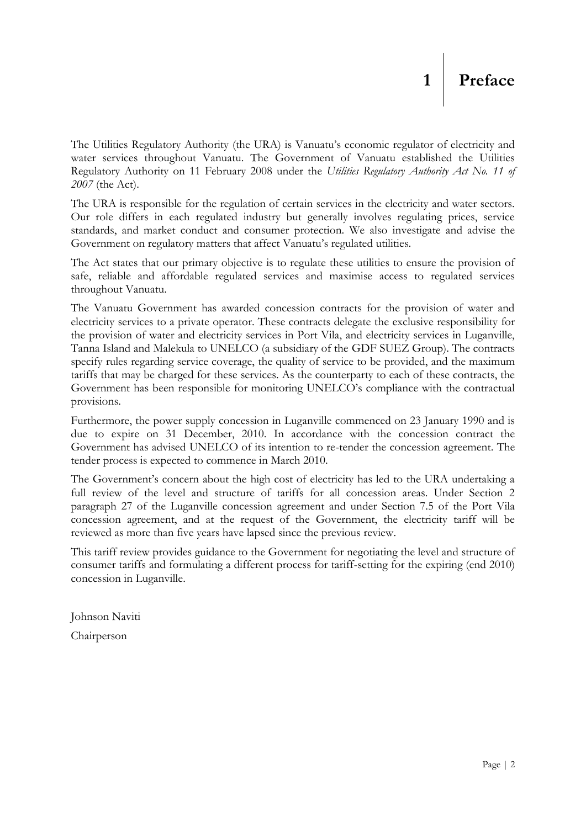### <span id="page-1-0"></span>**1 Preface**

The Utilities Regulatory Authority (the URA) is Vanuatu"s economic regulator of electricity and water services throughout Vanuatu. The Government of Vanuatu established the Utilities Regulatory Authority on 11 February 2008 under the *Utilities Regulatory Authority Act No. 11 of 2007* (the Act).

The URA is responsible for the regulation of certain services in the electricity and water sectors. Our role differs in each regulated industry but generally involves regulating prices, service standards, and market conduct and consumer protection. We also investigate and advise the Government on regulatory matters that affect Vanuatu"s regulated utilities*.*

The Act states that our primary objective is to regulate these utilities to ensure the provision of safe, reliable and affordable regulated services and maximise access to regulated services throughout Vanuatu.

The Vanuatu Government has awarded concession contracts for the provision of water and electricity services to a private operator. These contracts delegate the exclusive responsibility for the provision of water and electricity services in Port Vila, and electricity services in Luganville, Tanna Island and Malekula to UNELCO (a subsidiary of the GDF SUEZ Group). The contracts specify rules regarding service coverage, the quality of service to be provided, and the maximum tariffs that may be charged for these services. As the counterparty to each of these contracts, the Government has been responsible for monitoring UNELCO"s compliance with the contractual provisions.

Furthermore, the power supply concession in Luganville commenced on 23 January 1990 and is due to expire on 31 December, 2010. In accordance with the concession contract the Government has advised UNELCO of its intention to re-tender the concession agreement. The tender process is expected to commence in March 2010.

The Government's concern about the high cost of electricity has led to the URA undertaking a full review of the level and structure of tariffs for all concession areas. Under Section 2 paragraph 27 of the Luganville concession agreement and under Section 7.5 of the Port Vila concession agreement, and at the request of the Government, the electricity tariff will be reviewed as more than five years have lapsed since the previous review.

This tariff review provides guidance to the Government for negotiating the level and structure of consumer tariffs and formulating a different process for tariff-setting for the expiring (end 2010) concession in Luganville.

Johnson Naviti Chairperson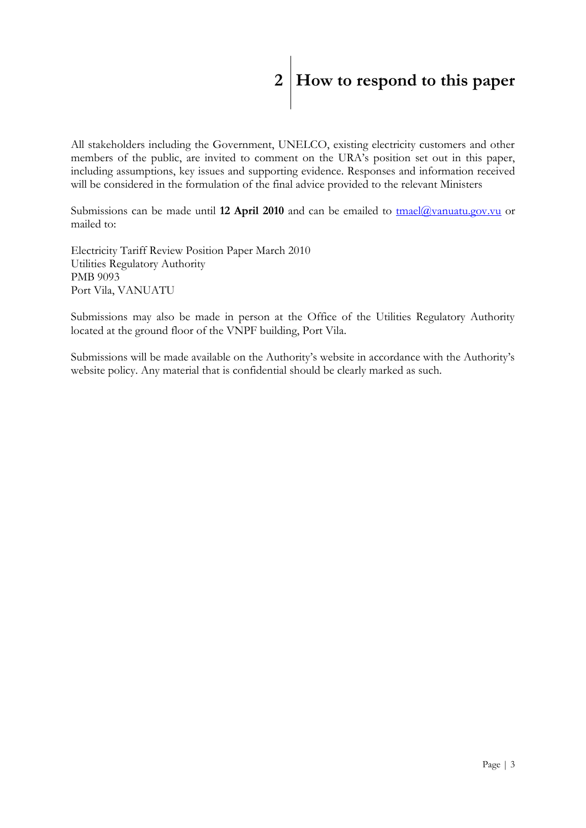## <span id="page-2-0"></span>**2 How to respond to this paper**

All stakeholders including the Government, UNELCO, existing electricity customers and other members of the public, are invited to comment on the URA"s position set out in this paper, including assumptions, key issues and supporting evidence. Responses and information received will be considered in the formulation of the final advice provided to the relevant Ministers

Submissions can be made until 12 April 2010 and can be emailed to [tmael@vanuatu.gov.vu](mailto:tmael@vanuatu.gov.vu) or mailed to:

Electricity Tariff Review Position Paper March 2010 Utilities Regulatory Authority PMB 9093 Port Vila, VANUATU

Submissions may also be made in person at the Office of the Utilities Regulatory Authority located at the ground floor of the VNPF building, Port Vila.

Submissions will be made available on the Authority's website in accordance with the Authority's website policy. Any material that is confidential should be clearly marked as such.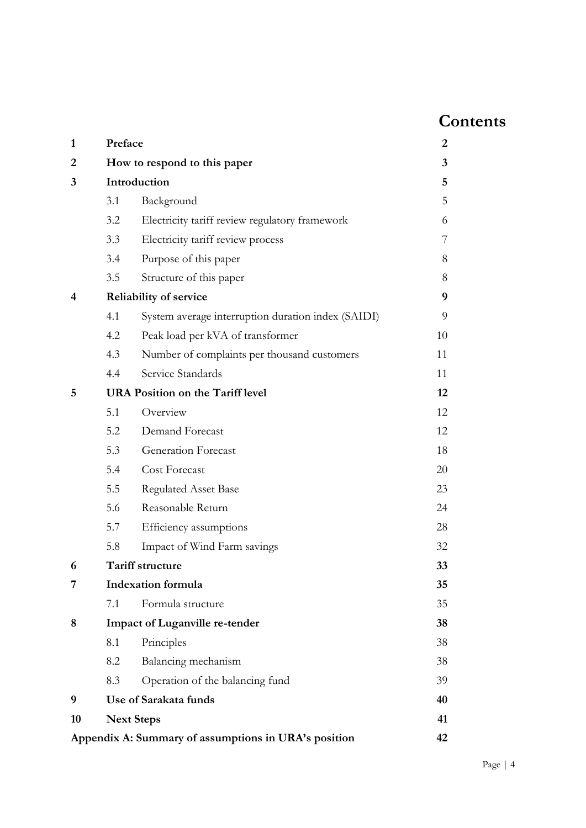### **Contents**

| 1              | Preface |                                                      | 2  |
|----------------|---------|------------------------------------------------------|----|
| $\overline{2}$ |         | How to respond to this paper                         | 3  |
| 3              |         | Introduction                                         | 5  |
|                | 3.1     | Background                                           | 5  |
|                | 3.2     | Electricity tariff review regulatory framework       | 6  |
|                | 3.3     | Electricity tariff review process                    | 7  |
|                | 3.4     | Purpose of this paper                                | 8  |
|                | 3.5     | Structure of this paper                              | 8  |
| 4              |         | <b>Reliability of service</b>                        | 9  |
|                | 4.1     | System average interruption duration index (SAIDI)   | 9  |
|                | 4.2     | Peak load per kVA of transformer                     | 10 |
|                | 4.3     | Number of complaints per thousand customers          | 11 |
|                | 4.4     | Service Standards                                    | 11 |
| 5              |         | <b>URA Position on the Tariff level</b>              | 12 |
|                | 5.1     | Overview                                             | 12 |
|                | 5.2     | Demand Forecast                                      | 12 |
|                | 5.3     | Generation Forecast                                  | 18 |
|                | 5.4     | Cost Forecast                                        | 20 |
|                | 5.5     | <b>Regulated Asset Base</b>                          | 23 |
|                | 5.6     | Reasonable Return                                    | 24 |
|                | 5.7     | Efficiency assumptions                               | 28 |
|                | 5.8     | Impact of Wind Farm savings                          | 32 |
| 6              |         | Tariff structure                                     | 33 |
| 7              |         | <b>Indexation</b> formula                            | 35 |
|                | 7.1     | Formula structure                                    | 35 |
| 8              |         | <b>Impact of Luganville re-tender</b>                | 38 |
|                | 8.1     | Principles                                           | 38 |
|                | 8.2     | Balancing mechanism                                  | 38 |
|                | 8.3     | Operation of the balancing fund                      | 39 |
| 9              |         | Use of Sarakata funds                                | 40 |
| 10             |         | <b>Next Steps</b>                                    | 41 |
|                |         | Appendix A: Summary of assumptions in URA's position | 42 |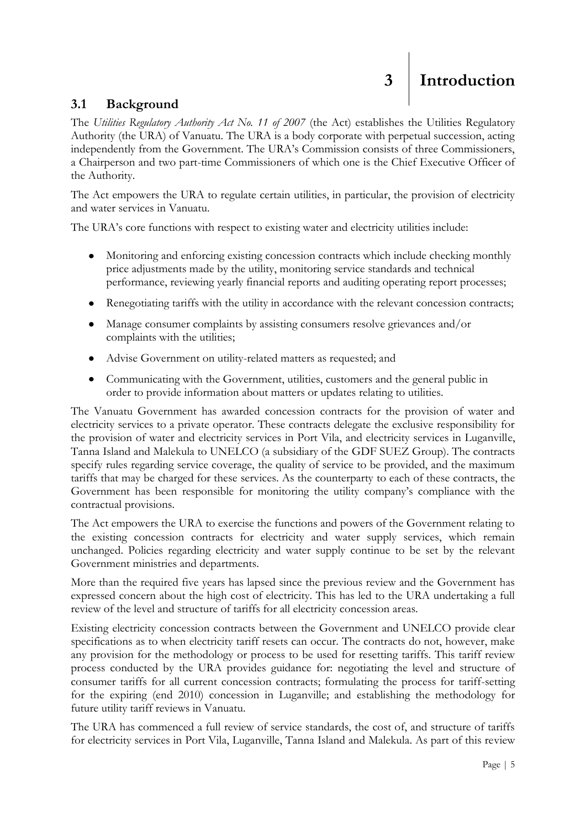#### <span id="page-4-1"></span><span id="page-4-0"></span>**3.1 Background**

The *Utilities Regulatory Authority Act No. 11 of 2007* (the Act) establishes the Utilities Regulatory Authority (the URA) of Vanuatu. The URA is a body corporate with perpetual succession, acting independently from the Government. The URA"s Commission consists of three Commissioners, a Chairperson and two part-time Commissioners of which one is the Chief Executive Officer of the Authority.

The Act empowers the URA to regulate certain utilities, in particular, the provision of electricity and water services in Vanuatu.

The URA's core functions with respect to existing water and electricity utilities include:

- Monitoring and enforcing existing concession contracts which include checking monthly  $\bullet$ price adjustments made by the utility, monitoring service standards and technical performance, reviewing yearly financial reports and auditing operating report processes;
- Renegotiating tariffs with the utility in accordance with the relevant concession contracts;
- Manage consumer complaints by assisting consumers resolve grievances and/or  $\bullet$ complaints with the utilities;
- Advise Government on utility-related matters as requested; and
- Communicating with the Government, utilities, customers and the general public in  $\bullet$ order to provide information about matters or updates relating to utilities.

The Vanuatu Government has awarded concession contracts for the provision of water and electricity services to a private operator. These contracts delegate the exclusive responsibility for the provision of water and electricity services in Port Vila, and electricity services in Luganville, Tanna Island and Malekula to UNELCO (a subsidiary of the GDF SUEZ Group). The contracts specify rules regarding service coverage, the quality of service to be provided, and the maximum tariffs that may be charged for these services. As the counterparty to each of these contracts, the Government has been responsible for monitoring the utility company"s compliance with the contractual provisions.

The Act empowers the URA to exercise the functions and powers of the Government relating to the existing concession contracts for electricity and water supply services, which remain unchanged. Policies regarding electricity and water supply continue to be set by the relevant Government ministries and departments.

More than the required five years has lapsed since the previous review and the Government has expressed concern about the high cost of electricity. This has led to the URA undertaking a full review of the level and structure of tariffs for all electricity concession areas.

Existing electricity concession contracts between the Government and UNELCO provide clear specifications as to when electricity tariff resets can occur. The contracts do not, however, make any provision for the methodology or process to be used for resetting tariffs. This tariff review process conducted by the URA provides guidance for: negotiating the level and structure of consumer tariffs for all current concession contracts; formulating the process for tariff-setting for the expiring (end 2010) concession in Luganville; and establishing the methodology for future utility tariff reviews in Vanuatu.

The URA has commenced a full review of service standards, the cost of, and structure of tariffs for electricity services in Port Vila, Luganville, Tanna Island and Malekula. As part of this review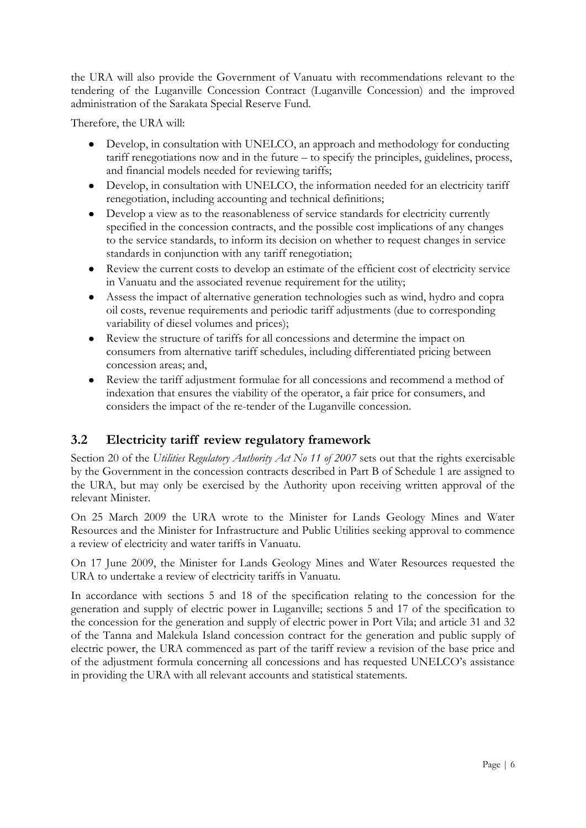the URA will also provide the Government of Vanuatu with recommendations relevant to the tendering of the Luganville Concession Contract (Luganville Concession) and the improved administration of the Sarakata Special Reserve Fund.

Therefore, the URA will:

- Develop, in consultation with UNELCO, an approach and methodology for conducting tariff renegotiations now and in the future – to specify the principles, guidelines, process, and financial models needed for reviewing tariffs;
- Develop, in consultation with UNELCO, the information needed for an electricity tariff renegotiation, including accounting and technical definitions;
- Develop a view as to the reasonableness of service standards for electricity currently  $\bullet$ specified in the concession contracts, and the possible cost implications of any changes to the service standards, to inform its decision on whether to request changes in service standards in conjunction with any tariff renegotiation;
- Review the current costs to develop an estimate of the efficient cost of electricity service  $\bullet$ in Vanuatu and the associated revenue requirement for the utility;
- Assess the impact of alternative generation technologies such as wind, hydro and copra oil costs, revenue requirements and periodic tariff adjustments (due to corresponding variability of diesel volumes and prices);
- $\bullet$ Review the structure of tariffs for all concessions and determine the impact on consumers from alternative tariff schedules, including differentiated pricing between concession areas; and,
- Review the tariff adjustment formulae for all concessions and recommend a method of indexation that ensures the viability of the operator, a fair price for consumers, and considers the impact of the re-tender of the Luganville concession.

#### <span id="page-5-0"></span>**3.2 Electricity tariff review regulatory framework**

Section 20 of the *Utilities Regulatory Authority Act No 11 of 2007* sets out that the rights exercisable by the Government in the concession contracts described in Part B of Schedule 1 are assigned to the URA, but may only be exercised by the Authority upon receiving written approval of the relevant Minister.

On 25 March 2009 the URA wrote to the Minister for Lands Geology Mines and Water Resources and the Minister for Infrastructure and Public Utilities seeking approval to commence a review of electricity and water tariffs in Vanuatu.

On 17 June 2009, the Minister for Lands Geology Mines and Water Resources requested the URA to undertake a review of electricity tariffs in Vanuatu.

In accordance with sections 5 and 18 of the specification relating to the concession for the generation and supply of electric power in Luganville; sections 5 and 17 of the specification to the concession for the generation and supply of electric power in Port Vila; and article 31 and 32 of the Tanna and Malekula Island concession contract for the generation and public supply of electric power, the URA commenced as part of the tariff review a revision of the base price and of the adjustment formula concerning all concessions and has requested UNELCO"s assistance in providing the URA with all relevant accounts and statistical statements.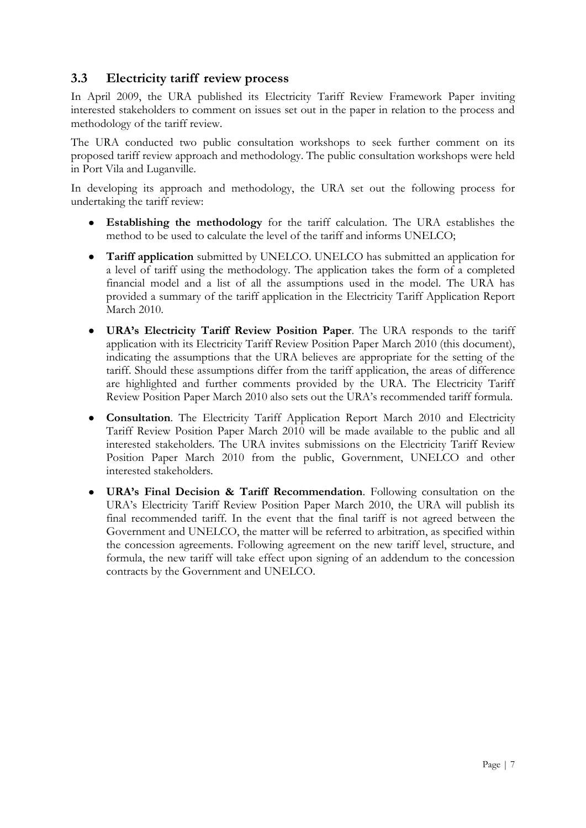#### <span id="page-6-0"></span>**3.3 Electricity tariff review process**

In April 2009, the URA published its Electricity Tariff Review Framework Paper inviting interested stakeholders to comment on issues set out in the paper in relation to the process and methodology of the tariff review.

The URA conducted two public consultation workshops to seek further comment on its proposed tariff review approach and methodology. The public consultation workshops were held in Port Vila and Luganville.

In developing its approach and methodology, the URA set out the following process for undertaking the tariff review:

- $\bullet$ **Establishing the methodology** for the tariff calculation. The URA establishes the method to be used to calculate the level of the tariff and informs UNELCO;
- $\bullet$ **Tariff application** submitted by UNELCO. UNELCO has submitted an application for a level of tariff using the methodology. The application takes the form of a completed financial model and a list of all the assumptions used in the model. The URA has provided a summary of the tariff application in the Electricity Tariff Application Report March 2010.
- **URA's Electricity Tariff Review Position Paper**. The URA responds to the tariff  $\bullet$ application with its Electricity Tariff Review Position Paper March 2010 (this document), indicating the assumptions that the URA believes are appropriate for the setting of the tariff. Should these assumptions differ from the tariff application, the areas of difference are highlighted and further comments provided by the URA. The Electricity Tariff Review Position Paper March 2010 also sets out the URA"s recommended tariff formula.
- **Consultation**. The Electricity Tariff Application Report March 2010 and Electricity  $\bullet$ Tariff Review Position Paper March 2010 will be made available to the public and all interested stakeholders. The URA invites submissions on the Electricity Tariff Review Position Paper March 2010 from the public, Government, UNELCO and other interested stakeholders.
- $\bullet$ **URA's Final Decision & Tariff Recommendation**. Following consultation on the URA"s Electricity Tariff Review Position Paper March 2010, the URA will publish its final recommended tariff. In the event that the final tariff is not agreed between the Government and UNELCO, the matter will be referred to arbitration, as specified within the concession agreements. Following agreement on the new tariff level, structure, and formula, the new tariff will take effect upon signing of an addendum to the concession contracts by the Government and UNELCO.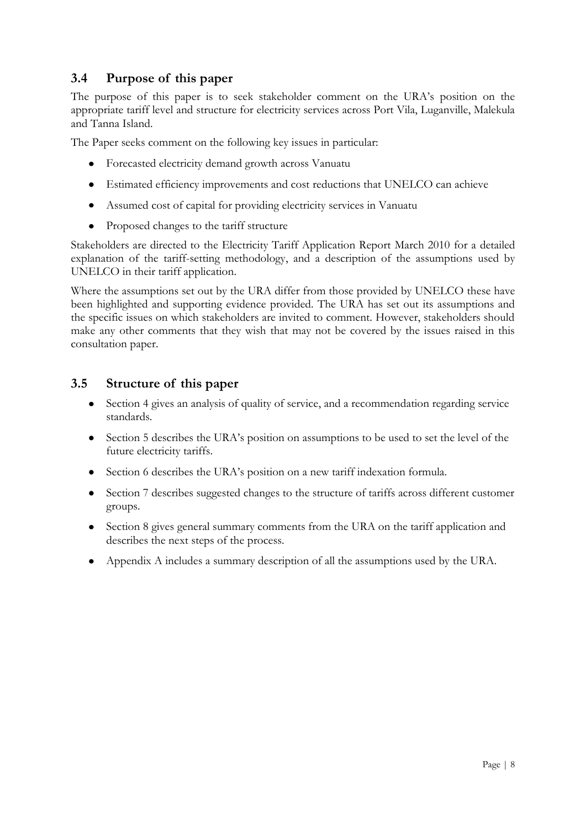#### <span id="page-7-0"></span>**3.4 Purpose of this paper**

The purpose of this paper is to seek stakeholder comment on the URA"s position on the appropriate tariff level and structure for electricity services across Port Vila, Luganville, Malekula and Tanna Island.

The Paper seeks comment on the following key issues in particular:

- Forecasted electricity demand growth across Vanuatu
- Estimated efficiency improvements and cost reductions that UNELCO can achieve
- Assumed cost of capital for providing electricity services in Vanuatu
- Proposed changes to the tariff structure  $\bullet$

Stakeholders are directed to the Electricity Tariff Application Report March 2010 for a detailed explanation of the tariff-setting methodology, and a description of the assumptions used by UNELCO in their tariff application.

Where the assumptions set out by the URA differ from those provided by UNELCO these have been highlighted and supporting evidence provided. The URA has set out its assumptions and the specific issues on which stakeholders are invited to comment. However, stakeholders should make any other comments that they wish that may not be covered by the issues raised in this consultation paper.

#### <span id="page-7-1"></span>**3.5 Structure of this paper**

- Section 4 gives an analysis of quality of service, and a recommendation regarding service  $\bullet$ standards.
- Section 5 describes the URA's position on assumptions to be used to set the level of the future electricity tariffs.
- $\bullet$ Section 6 describes the URA"s position on a new tariff indexation formula.
- Section 7 describes suggested changes to the structure of tariffs across different customer  $\bullet$ groups.
- Section 8 gives general summary comments from the URA on the tariff application and describes the next steps of the process.
- Appendix A includes a summary description of all the assumptions used by the URA.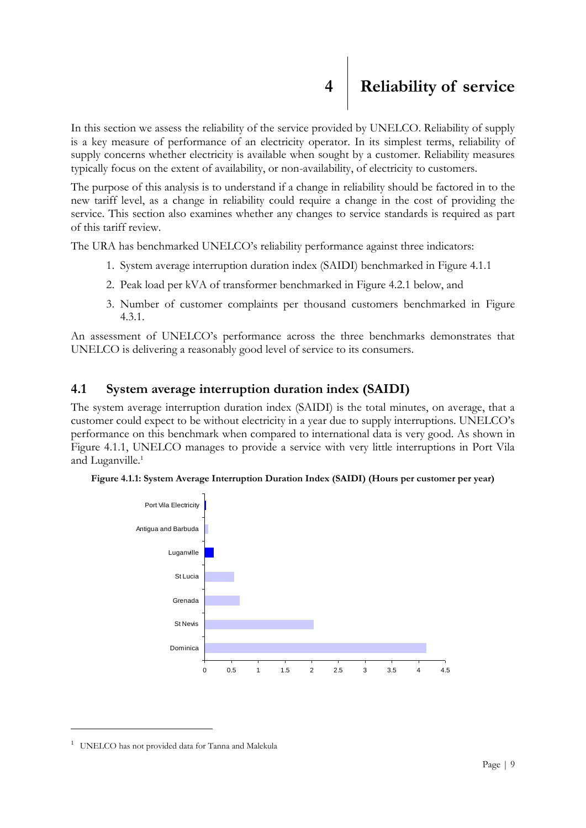<span id="page-8-0"></span>In this section we assess the reliability of the service provided by UNELCO. Reliability of supply is a key measure of performance of an electricity operator. In its simplest terms, reliability of supply concerns whether electricity is available when sought by a customer. Reliability measures typically focus on the extent of availability, or non-availability, of electricity to customers.

The purpose of this analysis is to understand if a change in reliability should be factored in to the new tariff level, as a change in reliability could require a change in the cost of providing the service. This section also examines whether any changes to service standards is required as part of this tariff review.

The URA has benchmarked UNELCO's reliability performance against three indicators:

- 1. System average interruption duration index (SAIDI) benchmarked in Figure 4.1.1
- 2. Peak load per kVA of transformer benchmarked in Figure 4.2.1 below, and
- 3. Number of customer complaints per thousand customers benchmarked in Figure 4.3.1.

An assessment of UNELCO"s performance across the three benchmarks demonstrates that UNELCO is delivering a reasonably good level of service to its consumers.

#### <span id="page-8-1"></span>**4.1 System average interruption duration index (SAIDI)**

The system average interruption duration index (SAIDI) is the total minutes, on average, that a customer could expect to be without electricity in a year due to supply interruptions. UNELCO"s performance on this benchmark when compared to international data is very good. As shown in Figure 4.1.1, UNELCO manages to provide a service with very little interruptions in Port Vila and Luganville.<sup>1</sup>





<u>.</u>

<sup>&</sup>lt;sup>1</sup> UNELCO has not provided data for Tanna and Malekula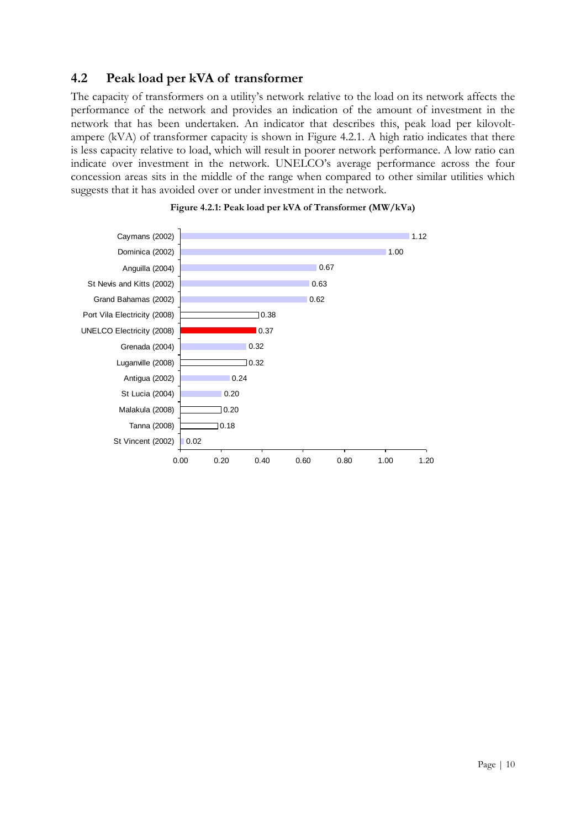#### <span id="page-9-0"></span>**4.2 Peak load per kVA of transformer**

The capacity of transformers on a utility's network relative to the load on its network affects the performance of the network and provides an indication of the amount of investment in the network that has been undertaken. An indicator that describes this, peak load per kilovoltampere (kVA) of transformer capacity is shown in Figure 4.2.1. A high ratio indicates that there is less capacity relative to load, which will result in poorer network performance. A low ratio can indicate over investment in the network. UNELCO"s average performance across the four concession areas sits in the middle of the range when compared to other similar utilities which suggests that it has avoided over or under investment in the network.



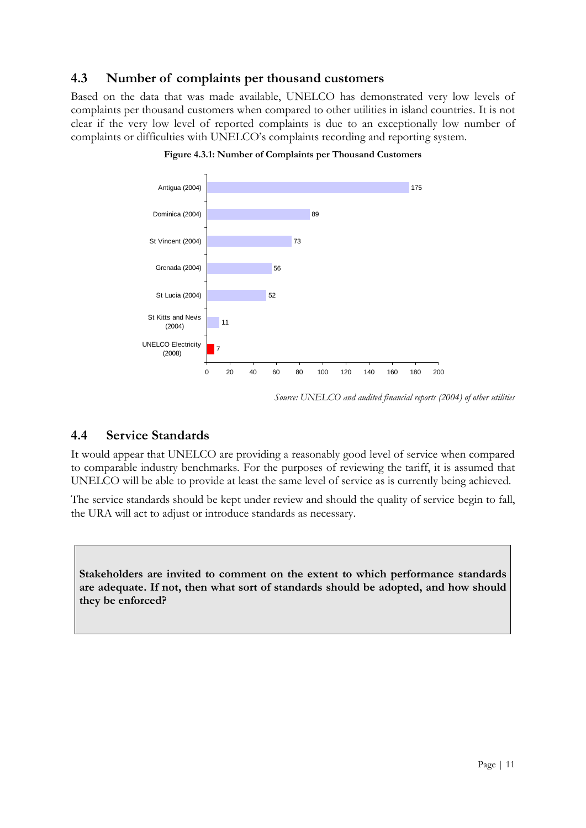#### <span id="page-10-0"></span>**4.3 Number of complaints per thousand customers**

Based on the data that was made available, UNELCO has demonstrated very low levels of complaints per thousand customers when compared to other utilities in island countries. It is not clear if the very low level of reported complaints is due to an exceptionally low number of complaints or difficulties with UNELCO"s complaints recording and reporting system.



**Figure 4.3.1: Number of Complaints per Thousand Customers**

#### <span id="page-10-1"></span>**4.4 Service Standards**

It would appear that UNELCO are providing a reasonably good level of service when compared to comparable industry benchmarks. For the purposes of reviewing the tariff, it is assumed that UNELCO will be able to provide at least the same level of service as is currently being achieved.

The service standards should be kept under review and should the quality of service begin to fall, the URA will act to adjust or introduce standards as necessary.

**Stakeholders are invited to comment on the extent to which performance standards are adequate. If not, then what sort of standards should be adopted, and how should they be enforced?**

*Source: UNELCO and audited financial reports (2004) of other utilities*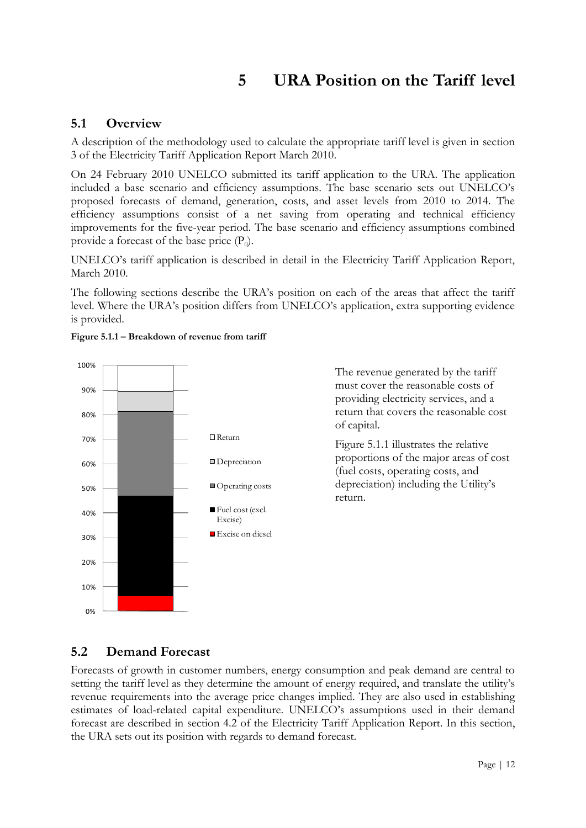### **5 URA Position on the Tariff level**

#### <span id="page-11-1"></span><span id="page-11-0"></span>**5.1 Overview**

A description of the methodology used to calculate the appropriate tariff level is given in section 3 of the Electricity Tariff Application Report March 2010.

On 24 February 2010 UNELCO submitted its tariff application to the URA. The application included a base scenario and efficiency assumptions. The base scenario sets out UNELCO"s proposed forecasts of demand, generation, costs, and asset levels from 2010 to 2014. The efficiency assumptions consist of a net saving from operating and technical efficiency improvements for the five-year period. The base scenario and efficiency assumptions combined provide a forecast of the base price  $(P_0)$ .

UNELCO"s tariff application is described in detail in the Electricity Tariff Application Report, March 2010.

The following sections describe the URA"s position on each of the areas that affect the tariff level. Where the URA"s position differs from UNELCO"s application, extra supporting evidence is provided.





#### <span id="page-11-2"></span>**5.2 Demand Forecast**

Forecasts of growth in customer numbers, energy consumption and peak demand are central to setting the tariff level as they determine the amount of energy required, and translate the utility"s revenue requirements into the average price changes implied. They are also used in establishing estimates of load-related capital expenditure. UNELCO's assumptions used in their demand forecast are described in section 4.2 of the Electricity Tariff Application Report. In this section, the URA sets out its position with regards to demand forecast.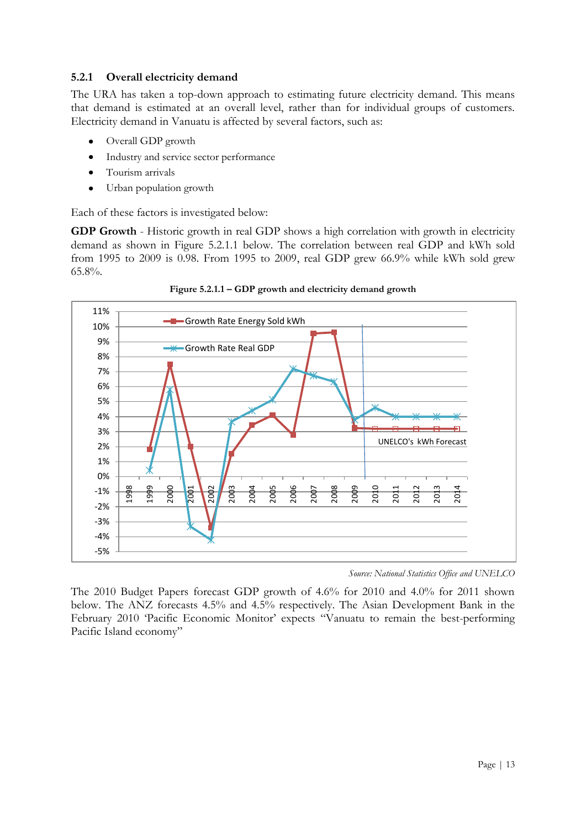#### **5.2.1 Overall electricity demand**

The URA has taken a top-down approach to estimating future electricity demand. This means that demand is estimated at an overall level, rather than for individual groups of customers. Electricity demand in Vanuatu is affected by several factors, such as:

- Overall GDP growth  $\bullet$
- Industry and service sector performance  $\bullet$
- Tourism arrivals  $\bullet$
- Urban population growth  $\bullet$

Each of these factors is investigated below:

**GDP Growth** - Historic growth in real GDP shows a high correlation with growth in electricity demand as shown in Figure 5.2.1.1 below. The correlation between real GDP and kWh sold from 1995 to 2009 is 0.98. From 1995 to 2009, real GDP grew 66.9% while kWh sold grew 65.8%.



**Figure 5.2.1.1 – GDP growth and electricity demand growth**

*Source: National Statistics Office and UNELCO*

The 2010 Budget Papers forecast GDP growth of 4.6% for 2010 and 4.0% for 2011 shown below. The ANZ forecasts 4.5% and 4.5% respectively. The Asian Development Bank in the February 2010 'Pacific Economic Monitor' expects "Vanuatu to remain the best-performing Pacific Island economy"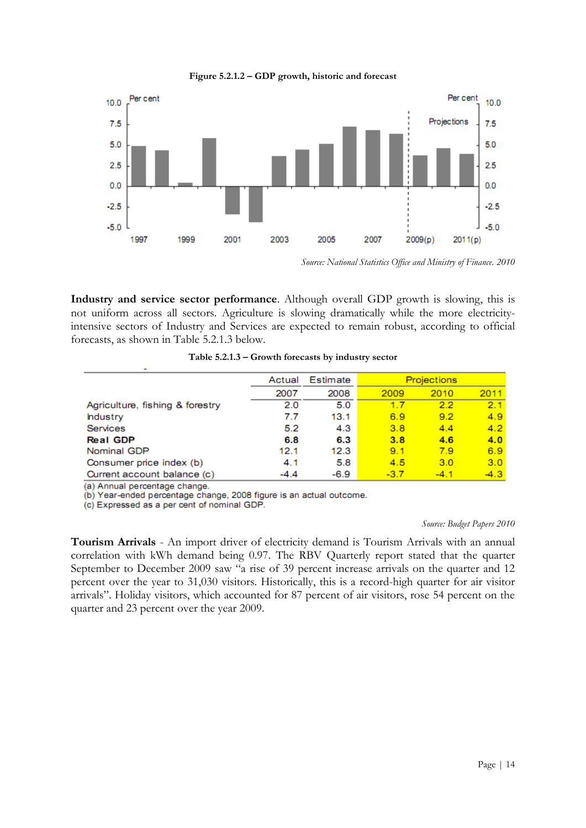

**Figure 5.2.1.2 – GDP growth, historic and forecast**

**Industry and service sector performance**. Although overall GDP growth is slowing, this is not uniform across all sectors. Agriculture is slowing dramatically while the more electricityintensive sectors of Industry and Services are expected to remain robust, according to official forecasts, as shown in Table 5.2.1.3 below.

|                                 | Actual | Estimate | <b>Projections</b> |        |        |
|---------------------------------|--------|----------|--------------------|--------|--------|
|                                 | 2007   | 2008     | 2009               | 2010   | 2011   |
| Agriculture, fishing & forestry | 2.0    | 5.0      | 1.7                | 2.2    | 2.1    |
| hdustry                         | 7.7    | 13.1     | 6.9                | 9.2    | 4.9    |
| <b>Services</b>                 | 5.2    | 4.3      | 3.8                | 4.4    | 4.2    |
| <b>Real GDP</b>                 | 6.8    | 6.3      | 3.8                | 4.6    | 4.0    |
| Nominal GDP                     | 12.1   | 12.3     | 9.1                | 7.9    | 6.9    |
| Consumer price index (b)        | 4.1    | 5.8      | 4.5                | 3.0    | 3.0    |
| Current account balance (c)     | -4.4   | $-6.9$   | $-3.7$             | $-4.1$ | $-4.3$ |

(a) Annual percentage change.

(b) Year-ended percentage change, 2008 figure is an actual outcome.

(c) Expressed as a per cent of nominal GDP.

#### *Source: Budget Papers 2010*

**Tourism Arrivals** - An import driver of electricity demand is Tourism Arrivals with an annual correlation with kWh demand being 0.97. The RBV Quarterly report stated that the quarter September to December 2009 saw "a rise of 39 percent increase arrivals on the quarter and 12 percent over the year to 31,030 visitors. Historically, this is a record-high quarter for air visitor arrivals". Holiday visitors, which accounted for 87 percent of air visitors, rose 54 percent on the quarter and 23 percent over the year 2009.

*Source: National Statistics Office and Ministry of Finance. 2010*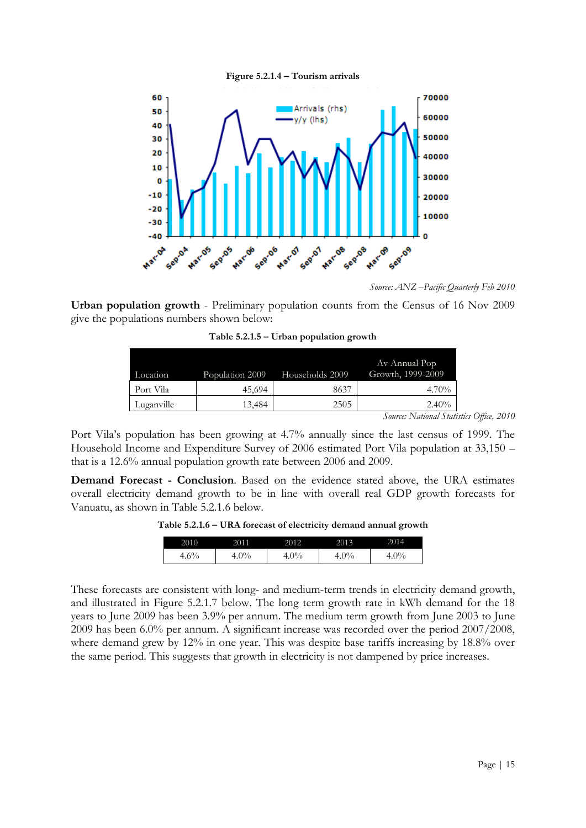



*Source: ANZ –Pacific Quarterly Feb 2010*

**Urban population growth** - Preliminary population counts from the Census of 16 Nov 2009 give the populations numbers shown below:

| Location   | Population 2009 | Households 2009 | Av Annual Pop<br>Growth, 1999-2009 |
|------------|-----------------|-----------------|------------------------------------|
| Port Vila  | 45,694          | 8637            | $4.70\%$                           |
| Luganville | 13,484          | 2505            | $2.40\%$                           |

**Table 5.2.1.5 – Urban population growth**

*Source: National Statistics Office, 2010*

Port Vila's population has been growing at 4.7% annually since the last census of 1999. The Household Income and Expenditure Survey of 2006 estimated Port Vila population at 33,150 – that is a 12.6% annual population growth rate between 2006 and 2009.

**Demand Forecast - Conclusion**. Based on the evidence stated above, the URA estimates overall electricity demand growth to be in line with overall real GDP growth forecasts for Vanuatu, as shown in Table 5.2.1.6 below.

**Table 5.2.1.6 – URA forecast of electricity demand annual growth**

| 2010    | 201 <sup>1</sup> | 2012  | 2013  | 2014  |
|---------|------------------|-------|-------|-------|
| $4.6\%$ | $0\%$            | $0\%$ | $0\%$ | $9\%$ |

These forecasts are consistent with long- and medium-term trends in electricity demand growth, and illustrated in Figure 5.2.1.7 below. The long term growth rate in kWh demand for the 18 years to June 2009 has been 3.9% per annum. The medium term growth from June 2003 to June 2009 has been 6.0% per annum. A significant increase was recorded over the period 2007/2008, where demand grew by 12% in one year. This was despite base tariffs increasing by 18.8% over the same period. This suggests that growth in electricity is not dampened by price increases.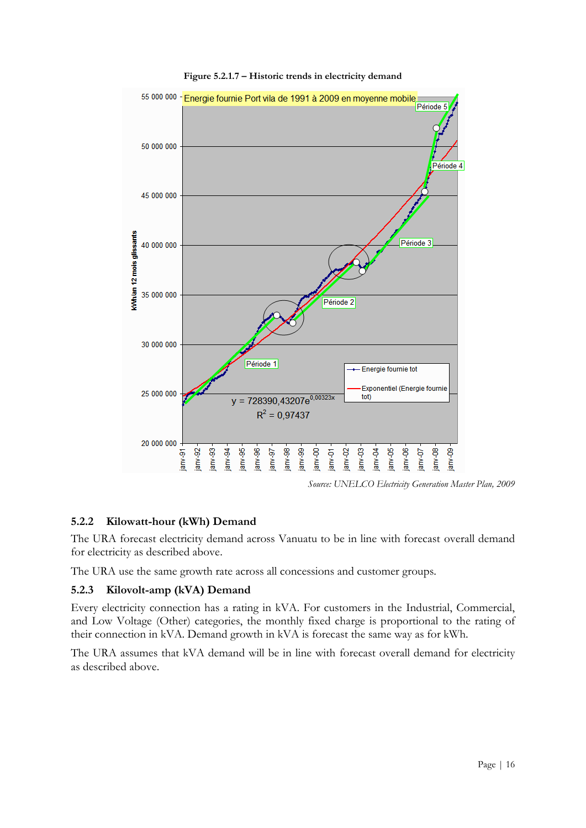

**Figure 5.2.1.7 – Historic trends in electricity demand**

*Source: UNELCO Electricity Generation Master Plan, 2009*

#### **5.2.2 Kilowatt-hour (kWh) Demand**

The URA forecast electricity demand across Vanuatu to be in line with forecast overall demand for electricity as described above.

The URA use the same growth rate across all concessions and customer groups.

#### **5.2.3 Kilovolt-amp (kVA) Demand**

Every electricity connection has a rating in kVA. For customers in the Industrial, Commercial, and Low Voltage (Other) categories, the monthly fixed charge is proportional to the rating of their connection in kVA. Demand growth in kVA is forecast the same way as for kWh.

The URA assumes that kVA demand will be in line with forecast overall demand for electricity as described above.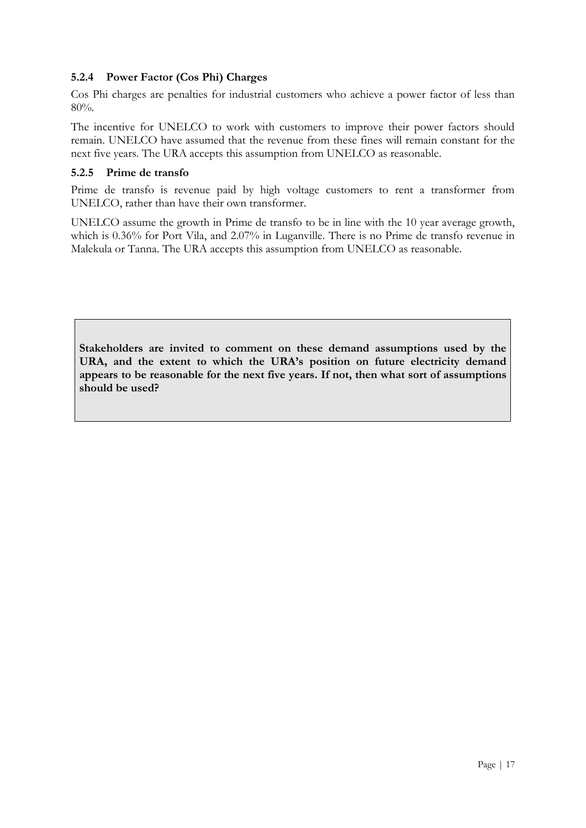#### **5.2.4 Power Factor (Cos Phi) Charges**

Cos Phi charges are penalties for industrial customers who achieve a power factor of less than 80%.

The incentive for UNELCO to work with customers to improve their power factors should remain. UNELCO have assumed that the revenue from these fines will remain constant for the next five years. The URA accepts this assumption from UNELCO as reasonable.

#### **5.2.5 Prime de transfo**

Prime de transfo is revenue paid by high voltage customers to rent a transformer from UNELCO, rather than have their own transformer.

UNELCO assume the growth in Prime de transfo to be in line with the 10 year average growth, which is 0.36% for Port Vila, and 2.07% in Luganville. There is no Prime de transfo revenue in Malekula or Tanna. The URA accepts this assumption from UNELCO as reasonable.

**Stakeholders are invited to comment on these demand assumptions used by the URA, and the extent to which the URA's position on future electricity demand appears to be reasonable for the next five years. If not, then what sort of assumptions should be used?**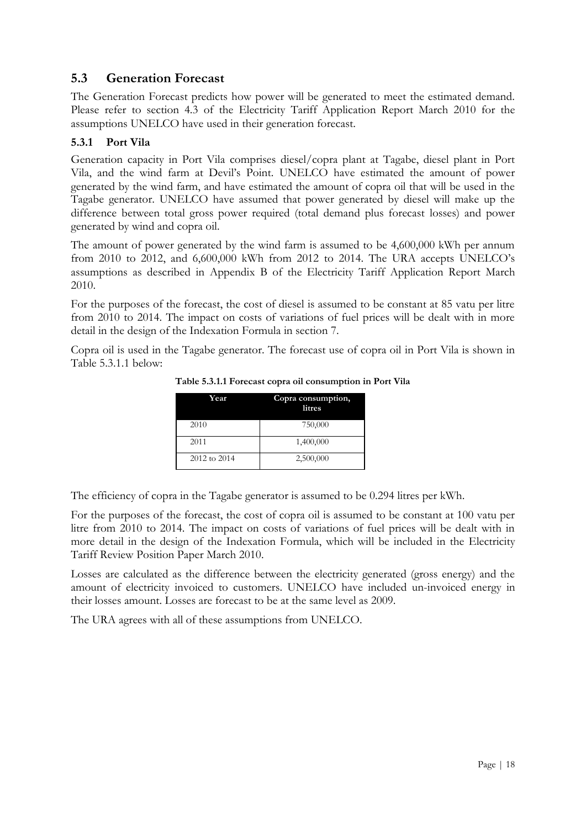#### <span id="page-17-0"></span>**5.3 Generation Forecast**

The Generation Forecast predicts how power will be generated to meet the estimated demand. Please refer to section 4.3 of the Electricity Tariff Application Report March 2010 for the assumptions UNELCO have used in their generation forecast.

#### **5.3.1 Port Vila**

Generation capacity in Port Vila comprises diesel/copra plant at Tagabe, diesel plant in Port Vila, and the wind farm at Devil"s Point. UNELCO have estimated the amount of power generated by the wind farm, and have estimated the amount of copra oil that will be used in the Tagabe generator. UNELCO have assumed that power generated by diesel will make up the difference between total gross power required (total demand plus forecast losses) and power generated by wind and copra oil.

The amount of power generated by the wind farm is assumed to be 4,600,000 kWh per annum from 2010 to 2012, and 6,600,000 kWh from 2012 to 2014. The URA accepts UNELCO"s assumptions as described in Appendix B of the Electricity Tariff Application Report March 2010.

For the purposes of the forecast, the cost of diesel is assumed to be constant at 85 vatu per litre from 2010 to 2014. The impact on costs of variations of fuel prices will be dealt with in more detail in the design of the Indexation Formula in section 7.

Copra oil is used in the Tagabe generator. The forecast use of copra oil in Port Vila is shown in Table 5.3.1.1 below:

| Year         | Copra consumption,<br>litres |
|--------------|------------------------------|
| 2010         | 750,000                      |
| 2011         | 1,400,000                    |
| 2012 to 2014 | 2,500,000                    |

**Table 5.3.1.1 Forecast copra oil consumption in Port Vila**

The efficiency of copra in the Tagabe generator is assumed to be 0.294 litres per kWh.

For the purposes of the forecast, the cost of copra oil is assumed to be constant at 100 vatu per litre from 2010 to 2014. The impact on costs of variations of fuel prices will be dealt with in more detail in the design of the Indexation Formula, which will be included in the Electricity Tariff Review Position Paper March 2010.

Losses are calculated as the difference between the electricity generated (gross energy) and the amount of electricity invoiced to customers. UNELCO have included un-invoiced energy in their losses amount. Losses are forecast to be at the same level as 2009.

The URA agrees with all of these assumptions from UNELCO.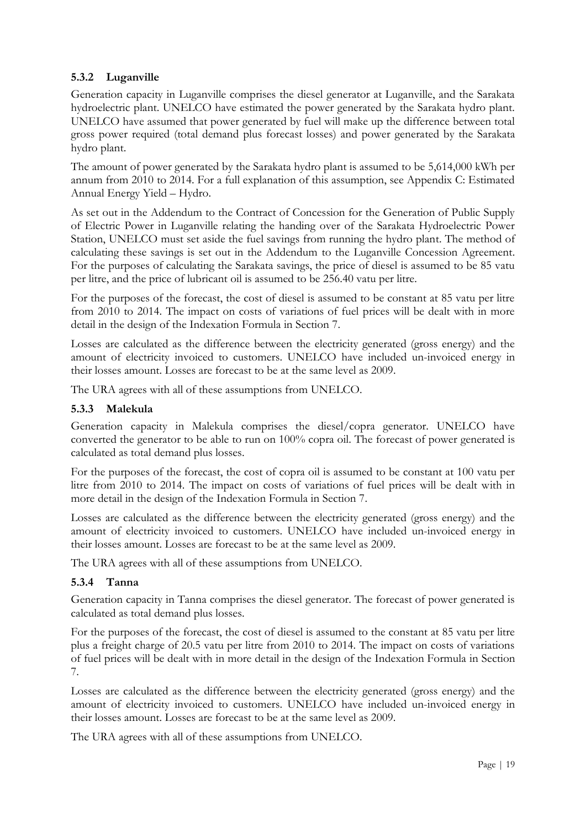#### **5.3.2 Luganville**

Generation capacity in Luganville comprises the diesel generator at Luganville, and the Sarakata hydroelectric plant. UNELCO have estimated the power generated by the Sarakata hydro plant. UNELCO have assumed that power generated by fuel will make up the difference between total gross power required (total demand plus forecast losses) and power generated by the Sarakata hydro plant.

The amount of power generated by the Sarakata hydro plant is assumed to be 5,614,000 kWh per annum from 2010 to 2014. For a full explanation of this assumption, see Appendix C: Estimated Annual Energy Yield – Hydro.

As set out in the Addendum to the Contract of Concession for the Generation of Public Supply of Electric Power in Luganville relating the handing over of the Sarakata Hydroelectric Power Station, UNELCO must set aside the fuel savings from running the hydro plant. The method of calculating these savings is set out in the Addendum to the Luganville Concession Agreement. For the purposes of calculating the Sarakata savings, the price of diesel is assumed to be 85 vatu per litre, and the price of lubricant oil is assumed to be 256.40 vatu per litre.

For the purposes of the forecast, the cost of diesel is assumed to be constant at 85 vatu per litre from 2010 to 2014. The impact on costs of variations of fuel prices will be dealt with in more detail in the design of the Indexation Formula in Section 7.

Losses are calculated as the difference between the electricity generated (gross energy) and the amount of electricity invoiced to customers. UNELCO have included un-invoiced energy in their losses amount. Losses are forecast to be at the same level as 2009.

The URA agrees with all of these assumptions from UNELCO.

#### **5.3.3 Malekula**

Generation capacity in Malekula comprises the diesel/copra generator. UNELCO have converted the generator to be able to run on 100% copra oil. The forecast of power generated is calculated as total demand plus losses.

For the purposes of the forecast, the cost of copra oil is assumed to be constant at 100 vatu per litre from 2010 to 2014. The impact on costs of variations of fuel prices will be dealt with in more detail in the design of the Indexation Formula in Section 7.

Losses are calculated as the difference between the electricity generated (gross energy) and the amount of electricity invoiced to customers. UNELCO have included un-invoiced energy in their losses amount. Losses are forecast to be at the same level as 2009.

The URA agrees with all of these assumptions from UNELCO.

#### **5.3.4 Tanna**

Generation capacity in Tanna comprises the diesel generator. The forecast of power generated is calculated as total demand plus losses.

For the purposes of the forecast, the cost of diesel is assumed to the constant at 85 vatu per litre plus a freight charge of 20.5 vatu per litre from 2010 to 2014. The impact on costs of variations of fuel prices will be dealt with in more detail in the design of the Indexation Formula in Section 7.

Losses are calculated as the difference between the electricity generated (gross energy) and the amount of electricity invoiced to customers. UNELCO have included un-invoiced energy in their losses amount. Losses are forecast to be at the same level as 2009.

The URA agrees with all of these assumptions from UNELCO.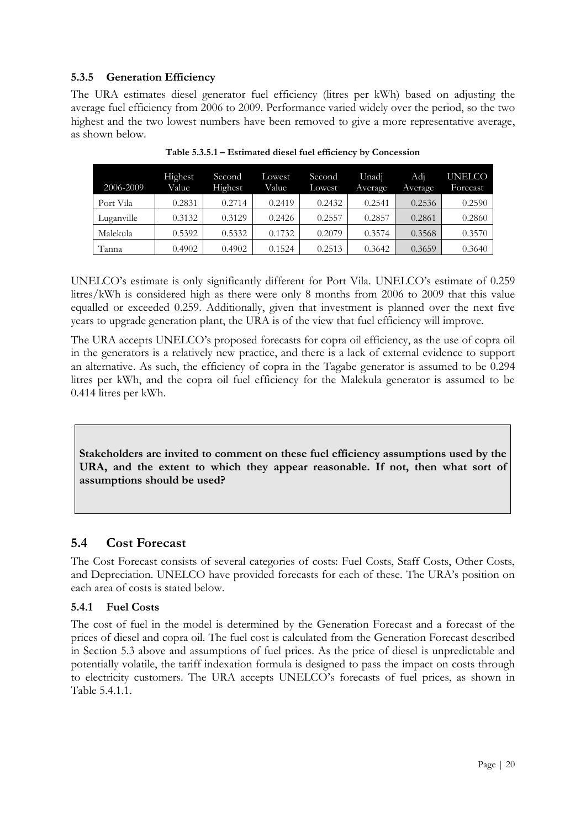#### **5.3.5 Generation Efficiency**

The URA estimates diesel generator fuel efficiency (litres per kWh) based on adjusting the average fuel efficiency from 2006 to 2009. Performance varied widely over the period, so the two highest and the two lowest numbers have been removed to give a more representative average, as shown below.

| 2006-2009  | Highest<br>Value | Second<br>Highest | Lowest<br>Value | Second<br>Lowest | Unadi<br>Average | Adi<br>Average | <b>UNELCO</b><br>Forecast |
|------------|------------------|-------------------|-----------------|------------------|------------------|----------------|---------------------------|
| Port Vila  | 0.2831           | 0.2714            | 0.2419          | 0.2432           | 0.2541           | 0.2536         | 0.2590                    |
| Luganville | 0.3132           | 0.3129            | 0.2426          | 0.2557           | 0.2857           | 0.2861         | 0.2860                    |
| Malekula   | 0.5392           | 0.5332            | 0.1732          | 0.2079           | 0.3574           | 0.3568         | 0.3570                    |
| Tanna      | 0.4902           | 0.4902            | 0.1524          | 0.2513           | 0.3642           | 0.3659         | 0.3640                    |

**Table 5.3.5.1 – Estimated diesel fuel efficiency by Concession**

UNELCO"s estimate is only significantly different for Port Vila. UNELCO"s estimate of 0.259 litres/kWh is considered high as there were only 8 months from 2006 to 2009 that this value equalled or exceeded 0.259. Additionally, given that investment is planned over the next five years to upgrade generation plant, the URA is of the view that fuel efficiency will improve.

The URA accepts UNELCO"s proposed forecasts for copra oil efficiency, as the use of copra oil in the generators is a relatively new practice, and there is a lack of external evidence to support an alternative. As such, the efficiency of copra in the Tagabe generator is assumed to be 0.294 litres per kWh, and the copra oil fuel efficiency for the Malekula generator is assumed to be 0.414 litres per kWh.

**Stakeholders are invited to comment on these fuel efficiency assumptions used by the URA, and the extent to which they appear reasonable. If not, then what sort of assumptions should be used?** 

#### <span id="page-19-0"></span>**5.4 Cost Forecast**

The Cost Forecast consists of several categories of costs: Fuel Costs, Staff Costs, Other Costs, and Depreciation. UNELCO have provided forecasts for each of these. The URA"s position on each area of costs is stated below.

#### **5.4.1 Fuel Costs**

The cost of fuel in the model is determined by the Generation Forecast and a forecast of the prices of diesel and copra oil. The fuel cost is calculated from the Generation Forecast described in Section 5.3 above and assumptions of fuel prices. As the price of diesel is unpredictable and potentially volatile, the tariff indexation formula is designed to pass the impact on costs through to electricity customers. The URA accepts UNELCO"s forecasts of fuel prices, as shown in Table 5.4.1.1.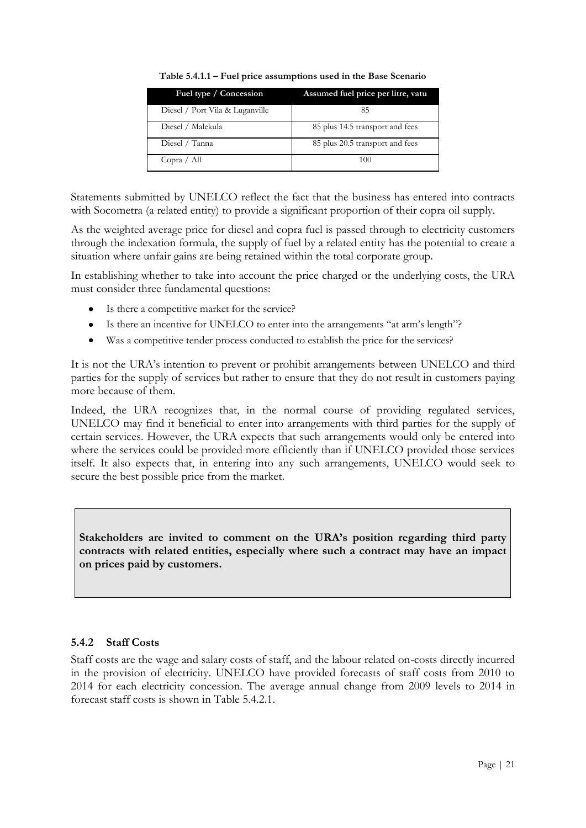| Fuel type / Concession          | Assumed fuel price per litre, vatu |
|---------------------------------|------------------------------------|
| Diesel / Port Vila & Luganville | 85                                 |
| Diesel / Malekula               | 85 plus 14.5 transport and fees    |
| Diesel / Tanna                  | 85 plus 20.5 transport and fees    |
| Copra / All                     | 100                                |

**Table 5.4.1.1 – Fuel price assumptions used in the Base Scenario**

Statements submitted by UNELCO reflect the fact that the business has entered into contracts with Socometra (a related entity) to provide a significant proportion of their copra oil supply.

As the weighted average price for diesel and copra fuel is passed through to electricity customers through the indexation formula, the supply of fuel by a related entity has the potential to create a situation where unfair gains are being retained within the total corporate group.

In establishing whether to take into account the price charged or the underlying costs, the URA must consider three fundamental questions:

- Is there a competitive market for the service?
- Is there an incentive for UNELCO to enter into the arrangements "at arm"s length"?  $\bullet$
- Was a competitive tender process conducted to establish the price for the services?  $\bullet$

It is not the URA"s intention to prevent or prohibit arrangements between UNELCO and third parties for the supply of services but rather to ensure that they do not result in customers paying more because of them.

Indeed, the URA recognizes that, in the normal course of providing regulated services, UNELCO may find it beneficial to enter into arrangements with third parties for the supply of certain services. However, the URA expects that such arrangements would only be entered into where the services could be provided more efficiently than if UNELCO provided those services itself. It also expects that, in entering into any such arrangements, UNELCO would seek to secure the best possible price from the market.

**Stakeholders are invited to comment on the URA's position regarding third party contracts with related entities, especially where such a contract may have an impact on prices paid by customers.**

#### **5.4.2 Staff Costs**

Staff costs are the wage and salary costs of staff, and the labour related on-costs directly incurred in the provision of electricity. UNELCO have provided forecasts of staff costs from 2010 to 2014 for each electricity concession. The average annual change from 2009 levels to 2014 in forecast staff costs is shown in Table 5.4.2.1.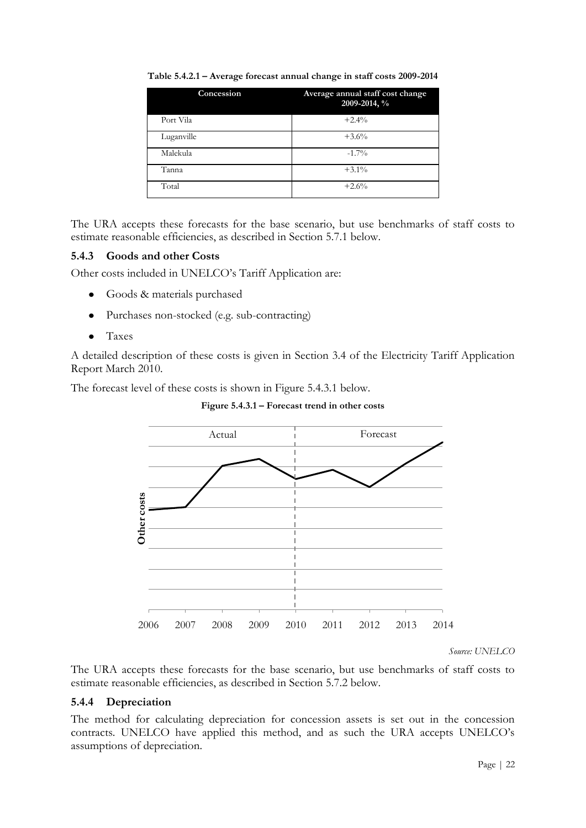| Concession | Average annual staff cost change<br>2009-2014, % |
|------------|--------------------------------------------------|
| Port Vila  | $+2.4%$                                          |
| Luganville | $+3.6%$                                          |
| Malekula   | $-1.7\%$                                         |
| Tanna      | $+3.1\%$                                         |
| Total      | $+2.6%$                                          |

**Table 5.4.2.1 – Average forecast annual change in staff costs 2009-2014**

The URA accepts these forecasts for the base scenario, but use benchmarks of staff costs to estimate reasonable efficiencies, as described in Section 5.7.1 below.

#### **5.4.3 Goods and other Costs**

Other costs included in UNELCO"s Tariff Application are:

- Goods & materials purchased  $\bullet$
- Purchases non-stocked (e.g. sub-contracting)  $\bullet$
- $\bullet$ Taxes

A detailed description of these costs is given in Section 3.4 of the Electricity Tariff Application Report March 2010.

The forecast level of these costs is shown in Figure 5.4.3.1 below.



**Figure 5.4.3.1 – Forecast trend in other costs**

*Source: UNELCO*

The URA accepts these forecasts for the base scenario, but use benchmarks of staff costs to estimate reasonable efficiencies, as described in Section 5.7.2 below.

#### **5.4.4 Depreciation**

The method for calculating depreciation for concession assets is set out in the concession contracts. UNELCO have applied this method, and as such the URA accepts UNELCO"s assumptions of depreciation.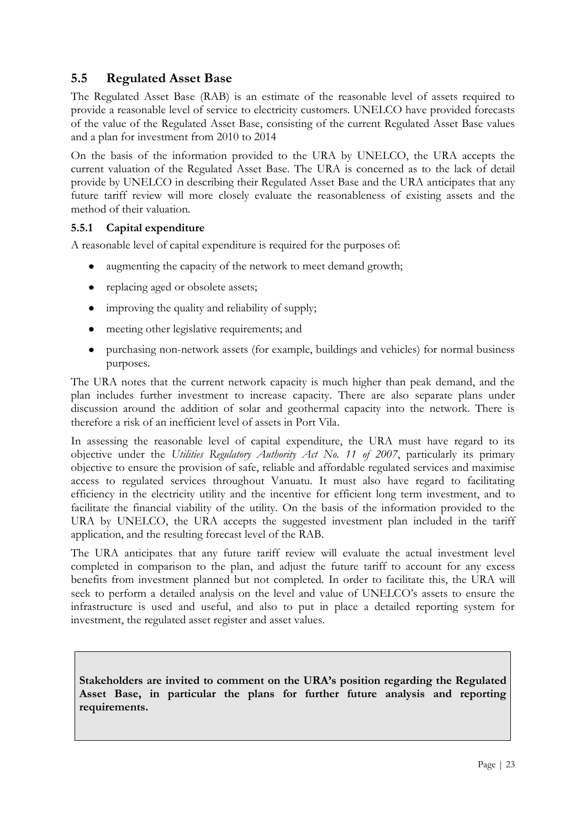#### <span id="page-22-0"></span>**5.5 Regulated Asset Base**

The Regulated Asset Base (RAB) is an estimate of the reasonable level of assets required to provide a reasonable level of service to electricity customers. UNELCO have provided forecasts of the value of the Regulated Asset Base, consisting of the current Regulated Asset Base values and a plan for investment from 2010 to 2014

On the basis of the information provided to the URA by UNELCO, the URA accepts the current valuation of the Regulated Asset Base. The URA is concerned as to the lack of detail provide by UNELCO in describing their Regulated Asset Base and the URA anticipates that any future tariff review will more closely evaluate the reasonableness of existing assets and the method of their valuation.

#### **5.5.1 Capital expenditure**

A reasonable level of capital expenditure is required for the purposes of:

- augmenting the capacity of the network to meet demand growth;
- replacing aged or obsolete assets;
- improving the quality and reliability of supply;
- $\bullet$ meeting other legislative requirements; and
- purchasing non-network assets (for example, buildings and vehicles) for normal business  $\bullet$ purposes.

The URA notes that the current network capacity is much higher than peak demand, and the plan includes further investment to increase capacity. There are also separate plans under discussion around the addition of solar and geothermal capacity into the network. There is therefore a risk of an inefficient level of assets in Port Vila.

In assessing the reasonable level of capital expenditure, the URA must have regard to its objective under the *Utilities Regulatory Authority Act No. 11 of 2007*, particularly its primary objective to ensure the provision of safe, reliable and affordable regulated services and maximise access to regulated services throughout Vanuatu. It must also have regard to facilitating efficiency in the electricity utility and the incentive for efficient long term investment, and to facilitate the financial viability of the utility. On the basis of the information provided to the URA by UNELCO, the URA accepts the suggested investment plan included in the tariff application, and the resulting forecast level of the RAB.

The URA anticipates that any future tariff review will evaluate the actual investment level completed in comparison to the plan, and adjust the future tariff to account for any excess benefits from investment planned but not completed. In order to facilitate this, the URA will seek to perform a detailed analysis on the level and value of UNELCO"s assets to ensure the infrastructure is used and useful, and also to put in place a detailed reporting system for investment, the regulated asset register and asset values.

**Stakeholders are invited to comment on the URA's position regarding the Regulated Asset Base, in particular the plans for further future analysis and reporting requirements.**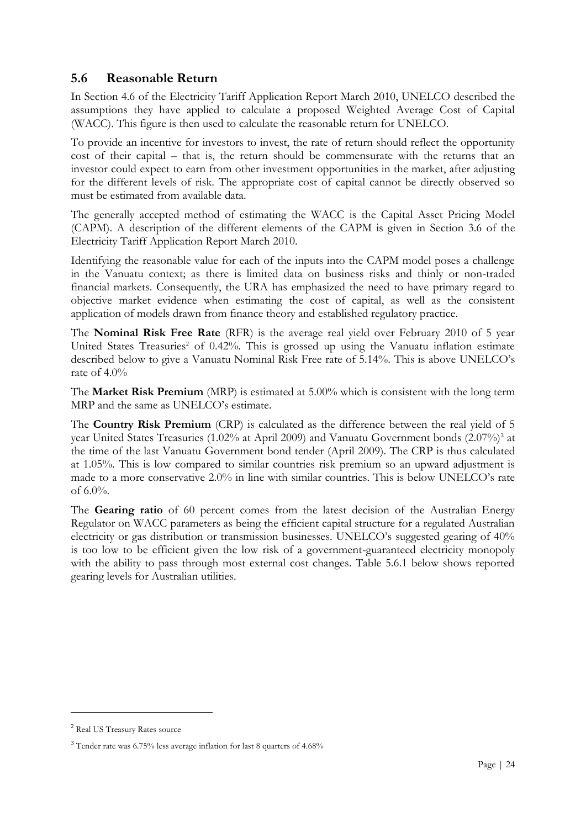#### <span id="page-23-0"></span>**5.6 Reasonable Return**

In Section 4.6 of the Electricity Tariff Application Report March 2010, UNELCO described the assumptions they have applied to calculate a proposed Weighted Average Cost of Capital (WACC). This figure is then used to calculate the reasonable return for UNELCO.

To provide an incentive for investors to invest, the rate of return should reflect the opportunity cost of their capital – that is, the return should be commensurate with the returns that an investor could expect to earn from other investment opportunities in the market, after adjusting for the different levels of risk. The appropriate cost of capital cannot be directly observed so must be estimated from available data.

The generally accepted method of estimating the WACC is the Capital Asset Pricing Model (CAPM). A description of the different elements of the CAPM is given in Section 3.6 of the Electricity Tariff Application Report March 2010.

Identifying the reasonable value for each of the inputs into the CAPM model poses a challenge in the Vanuatu context; as there is limited data on business risks and thinly or non-traded financial markets. Consequently, the URA has emphasized the need to have primary regard to objective market evidence when estimating the cost of capital, as well as the consistent application of models drawn from finance theory and established regulatory practice.

The **Nominal Risk Free Rate** (RFR) is the average real yield over February 2010 of 5 year United States Treasuries<sup>2</sup> of  $0.42\%$ . This is grossed up using the Vanuatu inflation estimate described below to give a Vanuatu Nominal Risk Free rate of 5.14%. This is above UNELCO"s rate of 4.0%

The **Market Risk Premium** (MRP) is estimated at 5.00% which is consistent with the long term MRP and the same as UNELCO's estimate.

The **Country Risk Premium** (CRP) is calculated as the difference between the real yield of 5 year United States Treasuries (1.02% at April 2009) and Vanuatu Government bonds (2.07%)<sup>3</sup> at the time of the last Vanuatu Government bond tender (April 2009). The CRP is thus calculated at 1.05%. This is low compared to similar countries risk premium so an upward adjustment is made to a more conservative 2.0% in line with similar countries. This is below UNELCO"s rate of 6.0%.

The **Gearing ratio** of 60 percent comes from the latest decision of the Australian Energy Regulator on WACC parameters as being the efficient capital structure for a regulated Australian electricity or gas distribution or transmission businesses. UNELCO"s suggested gearing of 40% is too low to be efficient given the low risk of a government-guaranteed electricity monopoly with the ability to pass through most external cost changes. Table 5.6.1 below shows reported gearing levels for Australian utilities.

<u>.</u>

<sup>2</sup> Real US Treasury Rates source

<sup>3</sup> Tender rate was 6.75% less average inflation for last 8 quarters of 4.68%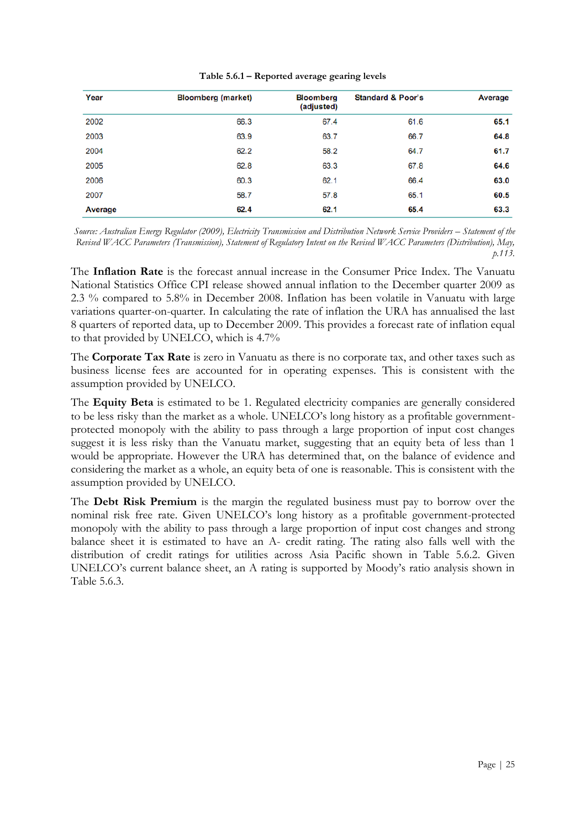| Table 5.6.1 - Reported average gearing levels |  |  |  |  |  |  |
|-----------------------------------------------|--|--|--|--|--|--|
|-----------------------------------------------|--|--|--|--|--|--|

| Year           | <b>Bloomberg (market)</b> | <b>Bloomberg</b><br>(adjusted) | <b>Standard &amp; Poor's</b> | <b>Average</b> |
|----------------|---------------------------|--------------------------------|------------------------------|----------------|
| 2002           | 66.3                      | 67.4                           | 61.6                         | 65.1           |
| 2003           | 63.9                      | 63.7                           | 66.7                         | 64.8           |
| 2004           | 62.2                      | 58.2                           | 64.7                         | 61.7           |
| 2005           | 62.8                      | 63.3                           | 67.8                         | 64.6           |
| 2006           | 60.3                      | 62.1                           | 66.4                         | 63.0           |
| 2007           | 58.7                      | 57.8                           | 65.1                         | 60.5           |
| <b>Average</b> | 62.4                      | 62.1                           | 65.4                         | 63.3           |

*Source: Australian Energy Regulator (2009), Electricity Transmission and Distribution Network Service Providers – Statement of the Revised WACC Parameters (Transmission), Statement of Regulatory Intent on the Revised WACC Parameters (Distribution), May, p.113.*

The **Inflation Rate** is the forecast annual increase in the Consumer Price Index. The Vanuatu National Statistics Office CPI release showed annual inflation to the December quarter 2009 as 2.3 % compared to 5.8% in December 2008. Inflation has been volatile in Vanuatu with large variations quarter-on-quarter. In calculating the rate of inflation the URA has annualised the last 8 quarters of reported data, up to December 2009. This provides a forecast rate of inflation equal to that provided by UNELCO, which is 4.7%

The **Corporate Tax Rate** is zero in Vanuatu as there is no corporate tax, and other taxes such as business license fees are accounted for in operating expenses. This is consistent with the assumption provided by UNELCO.

The **Equity Beta** is estimated to be 1. Regulated electricity companies are generally considered to be less risky than the market as a whole. UNELCO"s long history as a profitable governmentprotected monopoly with the ability to pass through a large proportion of input cost changes suggest it is less risky than the Vanuatu market, suggesting that an equity beta of less than 1 would be appropriate. However the URA has determined that, on the balance of evidence and considering the market as a whole, an equity beta of one is reasonable. This is consistent with the assumption provided by UNELCO.

The **Debt Risk Premium** is the margin the regulated business must pay to borrow over the nominal risk free rate. Given UNELCO"s long history as a profitable government-protected monopoly with the ability to pass through a large proportion of input cost changes and strong balance sheet it is estimated to have an A- credit rating. The rating also falls well with the distribution of credit ratings for utilities across Asia Pacific shown in Table 5.6.2. Given UNELCO"s current balance sheet, an A rating is supported by Moody"s ratio analysis shown in Table 5.6.3.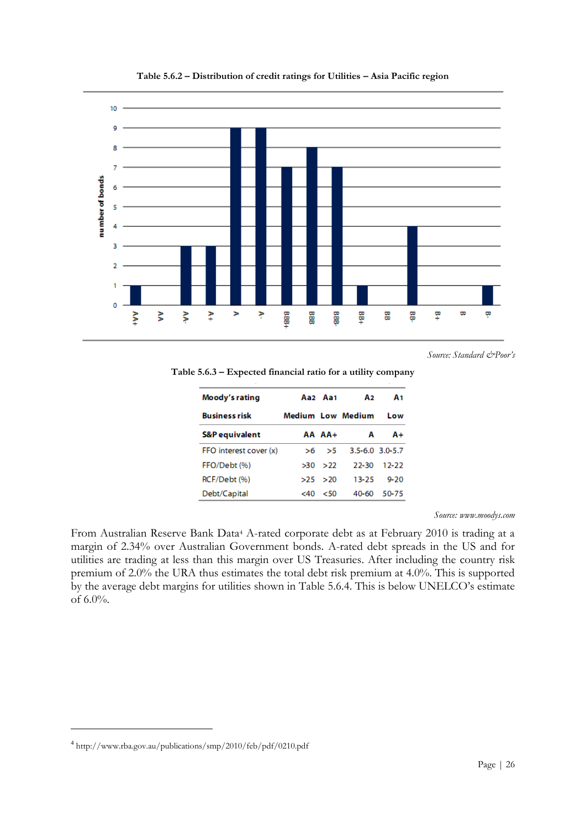

**Table 5.6.2 – Distribution of credit ratings for Utilities – Asia Pacific region**

*Source: Standard &Poor's* 

**Table 5.6.3 – Expected financial ratio for a utility company**

| Moody's rating            |     | Aa2 Aa1 | A2                       | Α1        |
|---------------------------|-----|---------|--------------------------|-----------|
| <b>Business risk</b>      |     |         | <b>Medium Low Medium</b> | Low       |
| <b>S&amp;P</b> equivalent |     | AA AA+  | А                        | A+        |
| FFO interest cover (x)    | >6  | - 55    | $3.5 - 6.0$ $3.0 - 5.7$  |           |
| FFO/Debt (%)              | >30 | 522     | 22-30                    | $12 - 22$ |
| RCF/Debt (%)              | >25 | >20     | $13 - 25$                | $9 - 20$  |
| Debt/Capital              | <40 | 50<     | 40-60                    | 50-75     |

*Source: www.moodys.com* 

From Australian Reserve Bank Data<sup>4</sup> A-rated corporate debt as at February 2010 is trading at a margin of 2.34% over Australian Government bonds. A-rated debt spreads in the US and for utilities are trading at less than this margin over US Treasuries. After including the country risk premium of 2.0% the URA thus estimates the total debt risk premium at 4.0%. This is supported by the average debt margins for utilities shown in Table 5.6.4. This is below UNELCO"s estimate of 6.0%.

<u>.</u>

<sup>4</sup> http://www.rba.gov.au/publications/smp/2010/feb/pdf/0210.pdf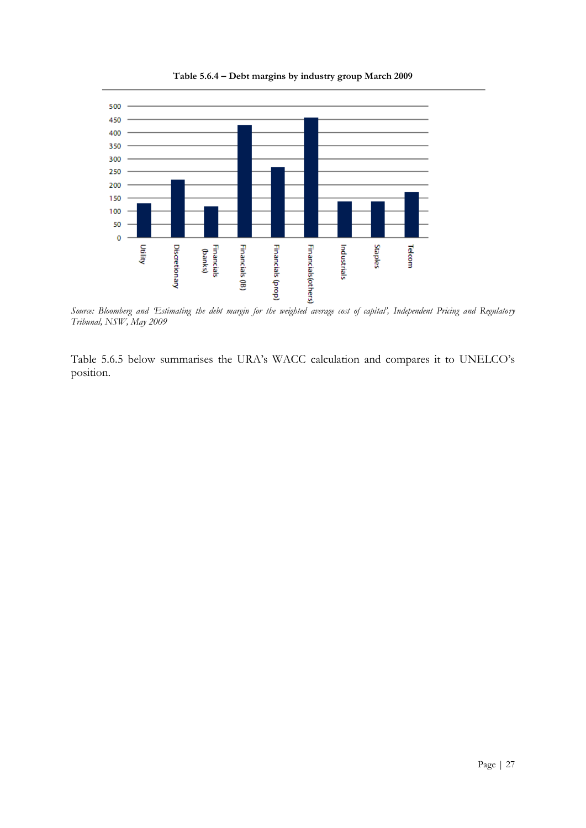

**Table 5.6.4 – Debt margins by industry group March 2009**

*Source: Bloomberg and 'Estimating the debt margin for the weighted average cost of capital', Independent Pricing and Regulatory Tribunal, NSW, May 2009*

Table 5.6.5 below summarises the URA"s WACC calculation and compares it to UNELCO"s position.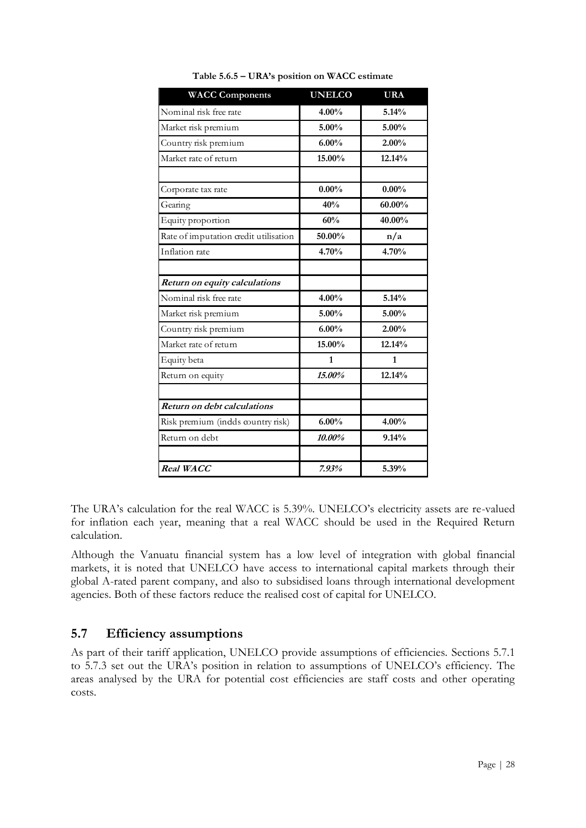| <b>WACC Components</b>                | <b>UNELCO</b> | <b>URA</b> |
|---------------------------------------|---------------|------------|
| Nominal risk free rate                | 4.00%         | 5.14%      |
| Market risk premium                   | $5.00\%$      | $5.00\%$   |
| Country risk premium                  | $6.00\%$      | 2.00%      |
| Market rate of return                 | 15.00%        | 12.14%     |
| Corporate tax rate                    | $0.00\%$      | $0.00\%$   |
| Gearing                               | 40%           | 60.00%     |
| Equity proportion                     | 60%           | 40.00%     |
| Rate of imputation credit utilisation | 50.00%        | n/a        |
| Inflation rate                        | 4.70%         | 4.70%      |
| Return on equity calculations         |               |            |
| Nominal risk free rate                | 4.00%         | 5.14%      |
| Market risk premium                   | $5.00\%$      | 5.00%      |
| Country risk premium                  | 6.00%         | 2.00%      |
| Market rate of return                 | 15.00%        | 12.14%     |
| Equity beta                           | $\mathbf{1}$  | 1          |
| Return on equity                      | 15.00%        | 12.14%     |
| Return on debt calculations           |               |            |
| Risk premium (indds country risk)     | 6.00%         | 4.00%      |
| Return on debt                        | 10.00%        | 9.14%      |
| Real WACC                             | 7.93%         | 5.39%      |

**Table 5.6.5 – URA's position on WACC estimate**

The URA's calculation for the real WACC is 5.39%. UNELCO's electricity assets are re-valued for inflation each year, meaning that a real WACC should be used in the Required Return calculation.

Although the Vanuatu financial system has a low level of integration with global financial markets, it is noted that UNELCO have access to international capital markets through their global A-rated parent company, and also to subsidised loans through international development agencies. Both of these factors reduce the realised cost of capital for UNELCO.

#### <span id="page-27-0"></span>**5.7 Efficiency assumptions**

As part of their tariff application, UNELCO provide assumptions of efficiencies. Sections 5.7.1 to 5.7.3 set out the URA"s position in relation to assumptions of UNELCO"s efficiency. The areas analysed by the URA for potential cost efficiencies are staff costs and other operating costs.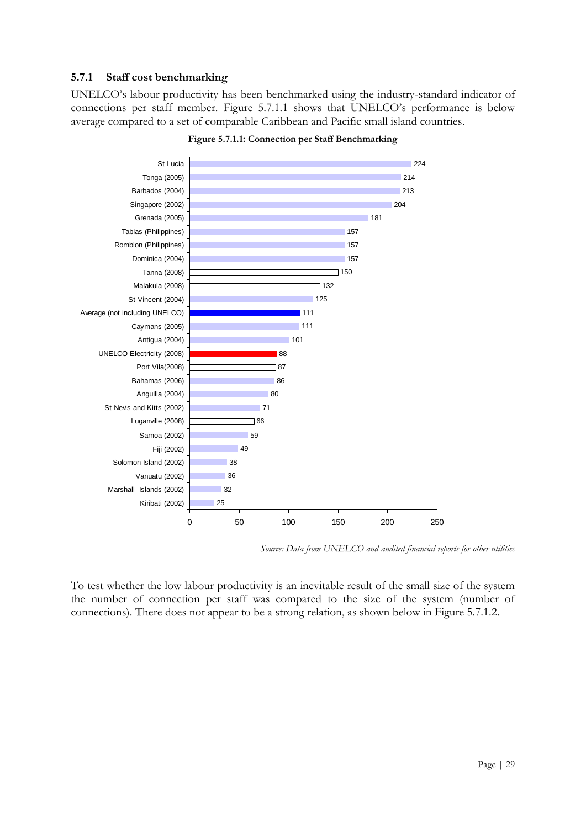#### **5.7.1 Staff cost benchmarking**

UNELCO"s labour productivity has been benchmarked using the industry-standard indicator of connections per staff member. Figure 5.7.1.1 shows that UNELCO"s performance is below average compared to a set of comparable Caribbean and Pacific small island countries.





*Source: Data from UNELCO and audited financial reports for other utilities*

To test whether the low labour productivity is an inevitable result of the small size of the system the number of connection per staff was compared to the size of the system (number of connections). There does not appear to be a strong relation, as shown below in Figure 5.7.1.2.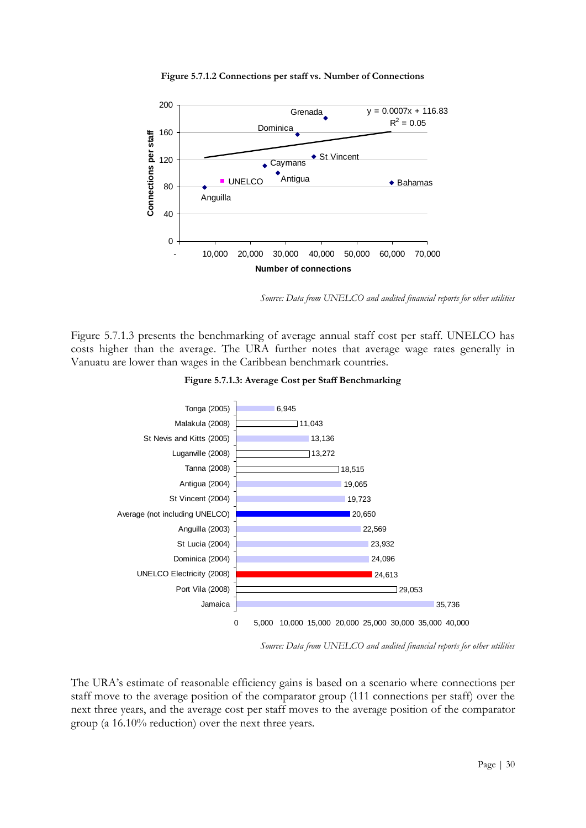

**Figure 5.7.1.2 Connections per staff vs. Number of Connections**

*Source: Data from UNELCO and audited financial reports for other utilities*

Figure 5.7.1.3 presents the benchmarking of average annual staff cost per staff. UNELCO has costs higher than the average. The URA further notes that average wage rates generally in Vanuatu are lower than wages in the Caribbean benchmark countries.





*Source: Data from UNELCO and audited financial reports for other utilities*

The URA"s estimate of reasonable efficiency gains is based on a scenario where connections per staff move to the average position of the comparator group (111 connections per staff) over the next three years, and the average cost per staff moves to the average position of the comparator group (a 16.10% reduction) over the next three years.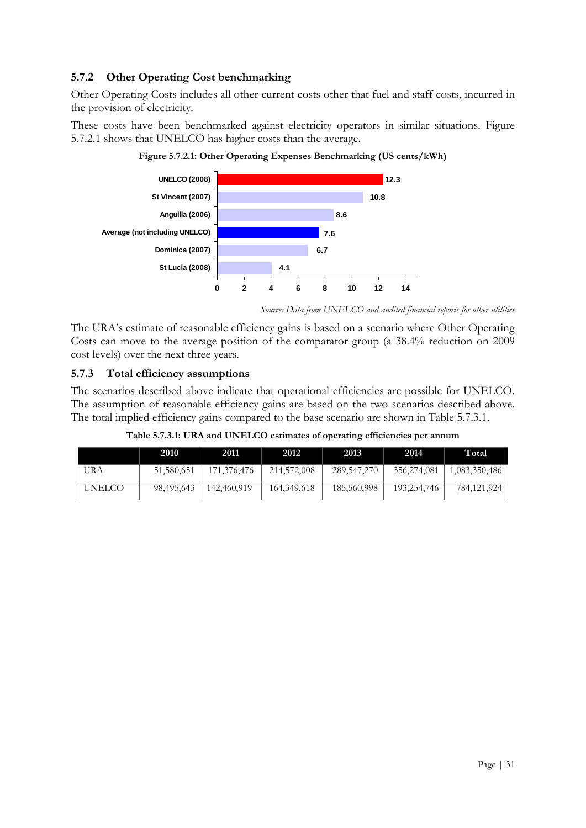#### **5.7.2 Other Operating Cost benchmarking**

Other Operating Costs includes all other current costs other that fuel and staff costs, incurred in the provision of electricity.

These costs have been benchmarked against electricity operators in similar situations. Figure 5.7.2.1 shows that UNELCO has higher costs than the average.



**Figure 5.7.2.1: Other Operating Expenses Benchmarking (US cents/kWh)**

The URA's estimate of reasonable efficiency gains is based on a scenario where Other Operating Costs can move to the average position of the comparator group (a 38.4% reduction on 2009 cost levels) over the next three years.

#### **5.7.3 Total efficiency assumptions**

The scenarios described above indicate that operational efficiencies are possible for UNELCO. The assumption of reasonable efficiency gains are based on the two scenarios described above. The total implied efficiency gains compared to the base scenario are shown in Table 5.7.3.1.

| Table 5.7.3.1: URA and UNELCO estimates of operating efficiencies per annum |  |
|-----------------------------------------------------------------------------|--|
|                                                                             |  |

|        | 2010       | 2011        | 2012        | 2013          | 2014        | Total         |
|--------|------------|-------------|-------------|---------------|-------------|---------------|
| URA    | 51,580,651 | 171,376,476 | 214,572,008 | 289, 547, 270 | 356,274,081 | 1,083,350,486 |
| UNELCO | 98,495,643 | 142,460,919 | 164,349,618 | 185,560,998   | 193,254,746 | 784,121,924   |

*Source: Data from UNELCO and audited financial reports for other utilities*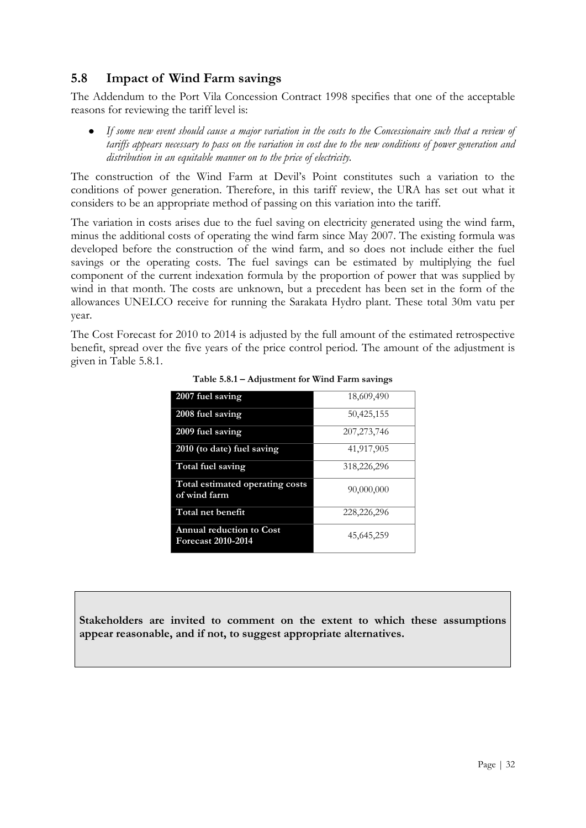#### <span id="page-31-0"></span>**5.8 Impact of Wind Farm savings**

The Addendum to the Port Vila Concession Contract 1998 specifies that one of the acceptable reasons for reviewing the tariff level is:

*If some new event should cause a major variation in the costs to the Concessionaire such that a review of tariffs appears necessary to pass on the variation in cost due to the new conditions of power generation and distribution in an equitable manner on to the price of electricity.*

The construction of the Wind Farm at Devil"s Point constitutes such a variation to the conditions of power generation. Therefore, in this tariff review, the URA has set out what it considers to be an appropriate method of passing on this variation into the tariff.

The variation in costs arises due to the fuel saving on electricity generated using the wind farm, minus the additional costs of operating the wind farm since May 2007. The existing formula was developed before the construction of the wind farm, and so does not include either the fuel savings or the operating costs. The fuel savings can be estimated by multiplying the fuel component of the current indexation formula by the proportion of power that was supplied by wind in that month. The costs are unknown, but a precedent has been set in the form of the allowances UNELCO receive for running the Sarakata Hydro plant. These total 30m vatu per year.

The Cost Forecast for 2010 to 2014 is adjusted by the full amount of the estimated retrospective benefit, spread over the five years of the price control period. The amount of the adjustment is given in Table 5.8.1.

| 2007 fuel saving                                             | 18,609,490    |
|--------------------------------------------------------------|---------------|
| 2008 fuel saving                                             | 50,425,155    |
| 2009 fuel saving                                             | 207, 273, 746 |
| 2010 (to date) fuel saving                                   | 41,917,905    |
| Total fuel saving                                            | 318,226,296   |
| Total estimated operating costs<br>of wind farm              | 90,000,000    |
| Total net benefit                                            | 228,226,296   |
| <b>Annual reduction to Cost</b><br><b>Forecast 2010-2014</b> | 45,645,259    |

**Table 5.8.1 – Adjustment for Wind Farm savings**

**Stakeholders are invited to comment on the extent to which these assumptions appear reasonable, and if not, to suggest appropriate alternatives.**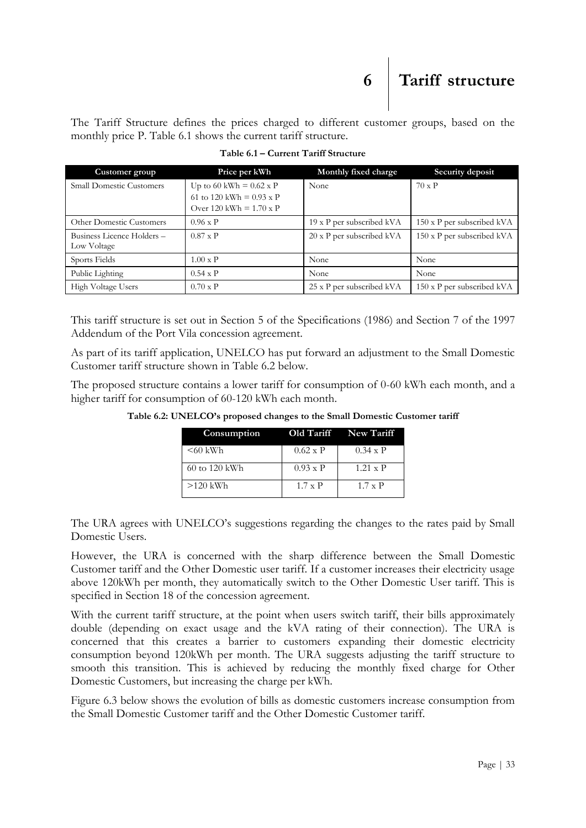The Tariff Structure defines the prices charged to different customer groups, based on the monthly price P. Table 6.1 shows the current tariff structure.

| Customer group                            | Price per kWh                                                     | Monthly fixed charge      | Security deposit           |
|-------------------------------------------|-------------------------------------------------------------------|---------------------------|----------------------------|
| <b>Small Domestic Customers</b>           | Up to 60 kWh = $0.62 \times P$<br>61 to 120 kWh = $0.93 \times P$ | None                      | $70 \times P$              |
|                                           | Over 120 kWh = $1.70 \times P$                                    |                           |                            |
| <b>Other Domestic Customers</b>           | $0.96 \times P$                                                   | 19 x P per subscribed kVA | 150 x P per subscribed kVA |
| Business Licence Holders -<br>Low Voltage | $0.87 \times P$                                                   | 20 x P per subscribed kVA | 150 x P per subscribed kVA |
| Sports Fields                             | $1.00 \times P$                                                   | None                      | None                       |
| Public Lighting                           | $0.54 \times P$                                                   | None                      | None                       |
| High Voltage Users                        | $0.70 \times P$                                                   | 25 x P per subscribed kVA | 150 x P per subscribed kVA |

<span id="page-32-0"></span>**Table 6.1 – Current Tariff Structure**

This tariff structure is set out in Section 5 of the Specifications (1986) and Section 7 of the 1997 Addendum of the Port Vila concession agreement.

As part of its tariff application, UNELCO has put forward an adjustment to the Small Domestic Customer tariff structure shown in Table 6.2 below.

The proposed structure contains a lower tariff for consumption of 0-60 kWh each month, and a higher tariff for consumption of 60-120 kWh each month.

| Consumption   |                 | Old Tariff New Tariff |
|---------------|-----------------|-----------------------|
| $<60$ kWh     | $0.62 \times P$ | $0.34 \times P$       |
| 60 to 120 kWh | $0.93 \times P$ | $1.21 \times P$       |
| $>120$ kWh    | $1.7 \times P$  | $1.7 \times P$        |

**Table 6.2: UNELCO's proposed changes to the Small Domestic Customer tariff**

The URA agrees with UNELCO"s suggestions regarding the changes to the rates paid by Small Domestic Users.

However, the URA is concerned with the sharp difference between the Small Domestic Customer tariff and the Other Domestic user tariff. If a customer increases their electricity usage above 120kWh per month, they automatically switch to the Other Domestic User tariff. This is specified in Section 18 of the concession agreement.

With the current tariff structure, at the point when users switch tariff, their bills approximately double (depending on exact usage and the kVA rating of their connection). The URA is concerned that this creates a barrier to customers expanding their domestic electricity consumption beyond 120kWh per month. The URA suggests adjusting the tariff structure to smooth this transition. This is achieved by reducing the monthly fixed charge for Other Domestic Customers, but increasing the charge per kWh.

Figure 6.3 below shows the evolution of bills as domestic customers increase consumption from the Small Domestic Customer tariff and the Other Domestic Customer tariff.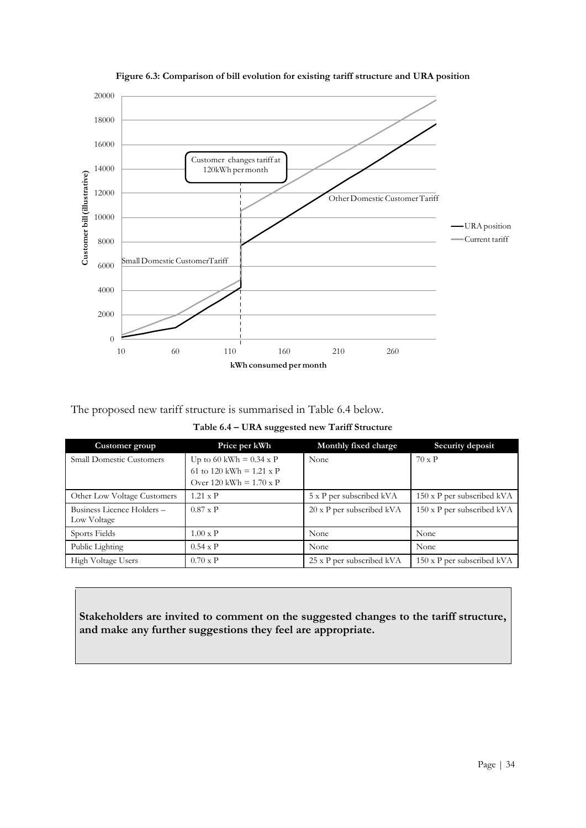

**Figure 6.3: Comparison of bill evolution for existing tariff structure and URA position**

The proposed new tariff structure is summarised in Table 6.4 below.

**Table 6.4 – URA suggested new Tariff Structure**

| Customer group                  | Price per kWh                   | Monthly fixed charge             | Security deposit           |
|---------------------------------|---------------------------------|----------------------------------|----------------------------|
| <b>Small Domestic Customers</b> | Up to 60 kWh = $0.34 \times P$  | None                             | $70 \times P$              |
|                                 | 61 to 120 kWh = $1.21 \times P$ |                                  |                            |
|                                 | Over 120 kWh $= 1.70 \times P$  |                                  |                            |
| Other Low Voltage Customers     | $1.21 \times P$                 | 5 x P per subscribed kVA         | 150 x P per subscribed kVA |
| Business Licence Holders -      | $0.87 \times P$                 | $20 \times P$ per subscribed kVA | 150 x P per subscribed kVA |
| Low Voltage                     |                                 |                                  |                            |
| Sports Fields                   | $1.00 \times P$                 | None                             | None                       |
| Public Lighting                 | $0.54 \times P$                 | None                             | None                       |
| High Voltage Users              | $0.70 \times P$                 | 25 x P per subscribed kVA        | 150 x P per subscribed kVA |

**Stakeholders are invited to comment on the suggested changes to the tariff structure, and make any further suggestions they feel are appropriate.**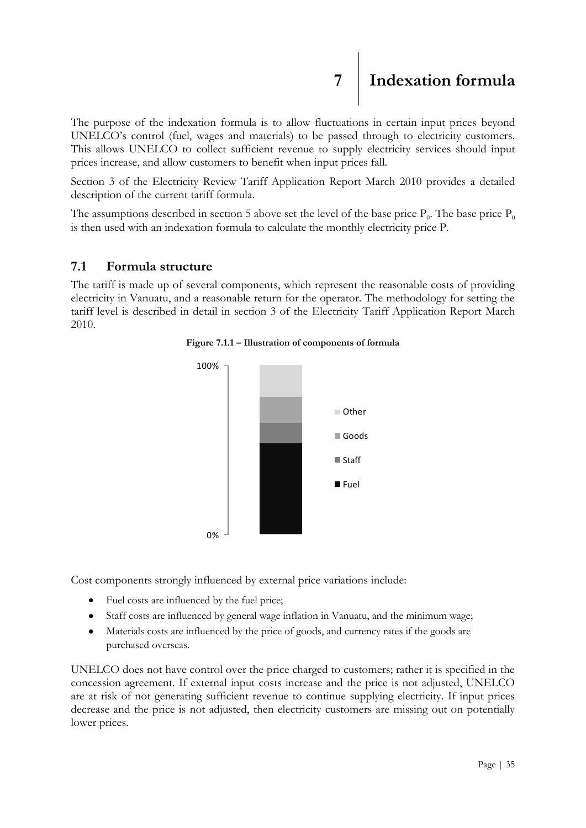## <span id="page-34-0"></span>**7 Indexation formula**

The purpose of the indexation formula is to allow fluctuations in certain input prices beyond UNELCO"s control (fuel, wages and materials) to be passed through to electricity customers. This allows UNELCO to collect sufficient revenue to supply electricity services should input prices increase, and allow customers to benefit when input prices fall.

Section 3 of the Electricity Review Tariff Application Report March 2010 provides a detailed description of the current tariff formula.

The assumptions described in section 5 above set the level of the base price  $P_0$ . The base price  $P_0$ is then used with an indexation formula to calculate the monthly electricity price P.

#### <span id="page-34-1"></span>**7.1 Formula structure**

The tariff is made up of several components, which represent the reasonable costs of providing electricity in Vanuatu, and a reasonable return for the operator. The methodology for setting the tariff level is described in detail in section 3 of the Electricity Tariff Application Report March 2010.





Cost components strongly influenced by external price variations include:

- Fuel costs are influenced by the fuel price;
- Staff costs are influenced by general wage inflation in Vanuatu, and the minimum wage;
- Materials costs are influenced by the price of goods, and currency rates if the goods are  $\bullet$ purchased overseas.

UNELCO does not have control over the price charged to customers; rather it is specified in the concession agreement. If external input costs increase and the price is not adjusted, UNELCO are at risk of not generating sufficient revenue to continue supplying electricity. If input prices decrease and the price is not adjusted, then electricity customers are missing out on potentially lower prices.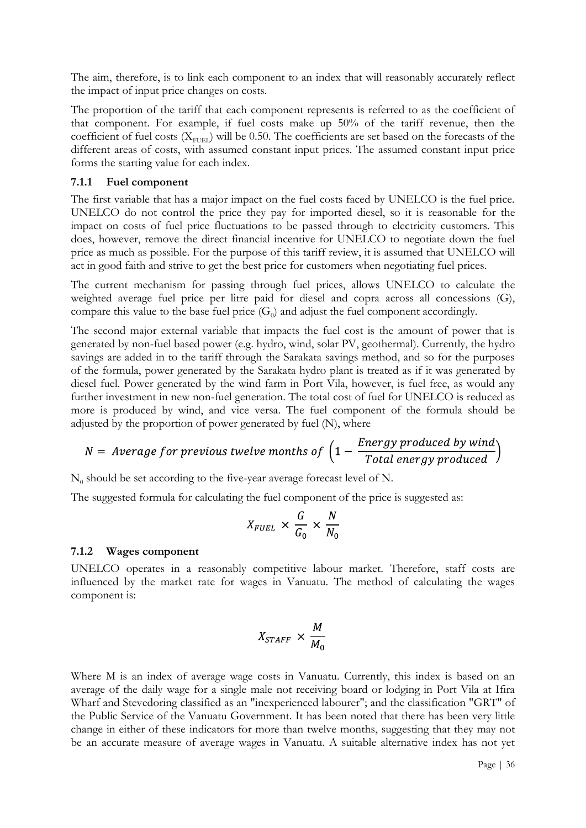The aim, therefore, is to link each component to an index that will reasonably accurately reflect the impact of input price changes on costs.

The proportion of the tariff that each component represents is referred to as the coefficient of that component. For example, if fuel costs make up 50% of the tariff revenue, then the coefficient of fuel costs ( $X_{FUEL}$ ) will be 0.50. The coefficients are set based on the forecasts of the different areas of costs, with assumed constant input prices. The assumed constant input price forms the starting value for each index.

#### **7.1.1 Fuel component**

The first variable that has a major impact on the fuel costs faced by UNELCO is the fuel price. UNELCO do not control the price they pay for imported diesel, so it is reasonable for the impact on costs of fuel price fluctuations to be passed through to electricity customers. This does, however, remove the direct financial incentive for UNELCO to negotiate down the fuel price as much as possible. For the purpose of this tariff review, it is assumed that UNELCO will act in good faith and strive to get the best price for customers when negotiating fuel prices.

The current mechanism for passing through fuel prices, allows UNELCO to calculate the weighted average fuel price per litre paid for diesel and copra across all concessions (G), compare this value to the base fuel price  $(G_0)$  and adjust the fuel component accordingly.

The second major external variable that impacts the fuel cost is the amount of power that is generated by non-fuel based power (e.g. hydro, wind, solar PV, geothermal). Currently, the hydro savings are added in to the tariff through the Sarakata savings method, and so for the purposes of the formula, power generated by the Sarakata hydro plant is treated as if it was generated by diesel fuel. Power generated by the wind farm in Port Vila, however, is fuel free, as would any further investment in new non-fuel generation. The total cost of fuel for UNELCO is reduced as more is produced by wind, and vice versa. The fuel component of the formula should be adjusted by the proportion of power generated by fuel (N), where

$$
N = Average for previous twelve months of \left(1 - \frac{Energy produced by wind}{Total energy produced}\right)
$$

 $N_0$  should be set according to the five-year average forecast level of N.

The suggested formula for calculating the fuel component of the price is suggested as:

$$
X_{FUEL} \times \frac{G}{G_0} \times \frac{N}{N_0}
$$

#### **7.1.2 Wages component**

UNELCO operates in a reasonably competitive labour market. Therefore, staff costs are influenced by the market rate for wages in Vanuatu. The method of calculating the wages component is:

$$
X_{STATE} \times \frac{M}{M_0}
$$

Where M is an index of average wage costs in Vanuatu. Currently, this index is based on an average of the daily wage for a single male not receiving board or lodging in Port Vila at Ifira Wharf and Stevedoring classified as an "inexperienced labourer"; and the classification "GRT" of the Public Service of the Vanuatu Government. It has been noted that there has been very little change in either of these indicators for more than twelve months, suggesting that they may not be an accurate measure of average wages in Vanuatu. A suitable alternative index has not yet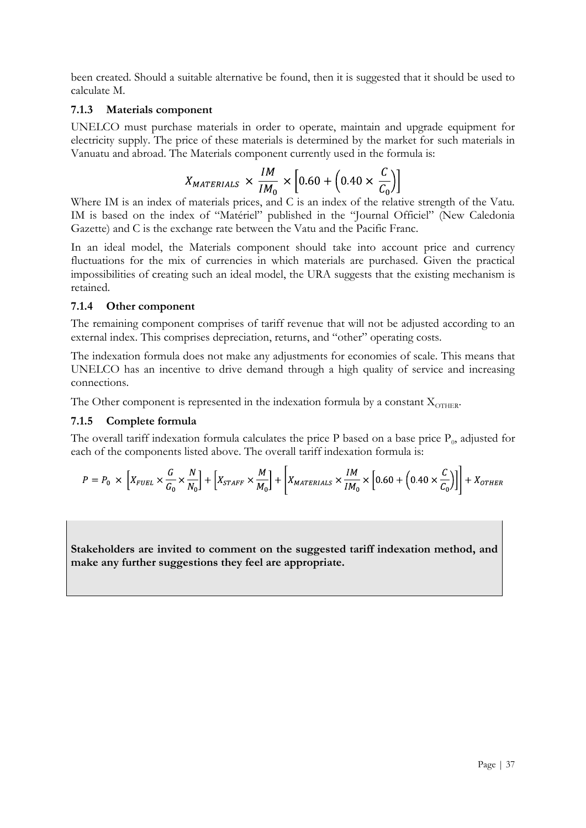been created. Should a suitable alternative be found, then it is suggested that it should be used to calculate M.

#### **7.1.3 Materials component**

UNELCO must purchase materials in order to operate, maintain and upgrade equipment for electricity supply. The price of these materials is determined by the market for such materials in Vanuatu and abroad. The Materials component currently used in the formula is:

$$
X_{MATERIALS} \times \frac{IM}{IM_0} \times \left[0.60 + \left(0.40 \times \frac{C}{C_0}\right)\right]
$$

Where IM is an index of materials prices, and C is an index of the relative strength of the Vatu. IM is based on the index of "Matériel" published in the "Journal Officiel" (New Caledonia Gazette) and C is the exchange rate between the Vatu and the Pacific Franc.

In an ideal model, the Materials component should take into account price and currency fluctuations for the mix of currencies in which materials are purchased. Given the practical impossibilities of creating such an ideal model, the URA suggests that the existing mechanism is retained.

#### **7.1.4 Other component**

The remaining component comprises of tariff revenue that will not be adjusted according to an external index. This comprises depreciation, returns, and "other" operating costs.

The indexation formula does not make any adjustments for economies of scale. This means that UNELCO has an incentive to drive demand through a high quality of service and increasing connections.

The Other component is represented in the indexation formula by a constant  $X_{\text{OTHER}}$ .

#### **7.1.5 Complete formula**

The overall tariff indexation formula calculates the price P based on a base price  $P_0$ , adjusted for each of the components listed above. The overall tariff indexation formula is:

$$
P = P_0 \times \left[ X_{FUEL} \times \frac{G}{G_0} \times \frac{N}{N_0} \right] + \left[ X_{STATE} \times \frac{M}{M_0} \right] + \left[ X_{MATERIALS} \times \frac{IM}{IM_0} \times \left[ 0.60 + \left( 0.40 \times \frac{C}{C_0} \right) \right] \right] + X_{OTHER}
$$

**Stakeholders are invited to comment on the suggested tariff indexation method, and make any further suggestions they feel are appropriate.**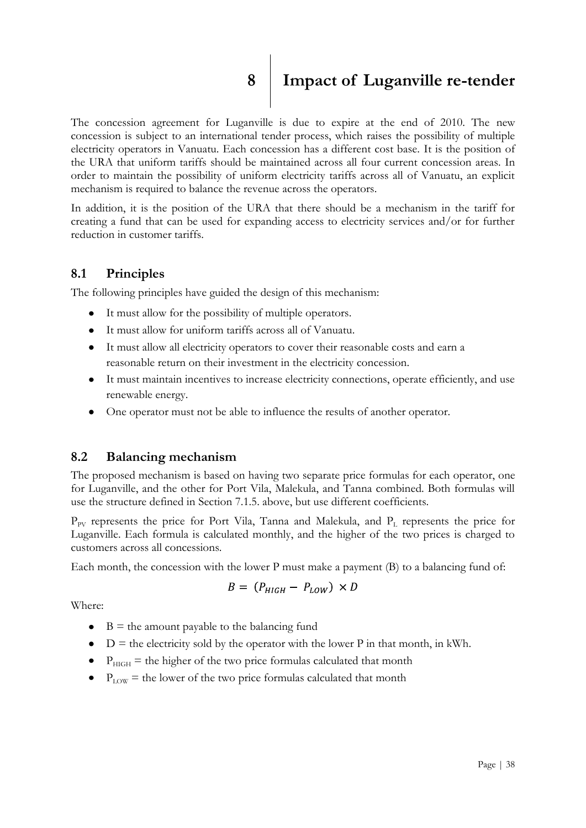<span id="page-37-0"></span>

# **8 Impact of Luganville re-tender**

The concession agreement for Luganville is due to expire at the end of 2010. The new concession is subject to an international tender process, which raises the possibility of multiple electricity operators in Vanuatu. Each concession has a different cost base. It is the position of the URA that uniform tariffs should be maintained across all four current concession areas. In order to maintain the possibility of uniform electricity tariffs across all of Vanuatu, an explicit mechanism is required to balance the revenue across the operators.

In addition, it is the position of the URA that there should be a mechanism in the tariff for creating a fund that can be used for expanding access to electricity services and/or for further reduction in customer tariffs.

#### <span id="page-37-1"></span>**8.1 Principles**

The following principles have guided the design of this mechanism:

- It must allow for the possibility of multiple operators.
- It must allow for uniform tariffs across all of Vanuatu.
- It must allow all electricity operators to cover their reasonable costs and earn a reasonable return on their investment in the electricity concession.
- It must maintain incentives to increase electricity connections, operate efficiently, and use renewable energy.
- One operator must not be able to influence the results of another operator.

#### <span id="page-37-2"></span>**8.2 Balancing mechanism**

The proposed mechanism is based on having two separate price formulas for each operator, one for Luganville, and the other for Port Vila, Malekula, and Tanna combined. Both formulas will use the structure defined in Section 7.1.5. above, but use different coefficients.

 $P_{\text{PV}}$  represents the price for Port Vila, Tanna and Malekula, and  $P_{\text{L}}$  represents the price for Luganville. Each formula is calculated monthly, and the higher of the two prices is charged to customers across all concessions.

Each month, the concession with the lower P must make a payment (B) to a balancing fund of:

$$
B = (P_{HIGH} - P_{LOW}) \times D
$$

Where:

- $\bullet$  B = the amount payable to the balancing fund
- $\bullet$  D = the electricity sold by the operator with the lower P in that month, in kWh.
- $\bullet$   $P_{\text{HIGH}}$  = the higher of the two price formulas calculated that month
- $\bullet$  P<sub>LOW</sub> = the lower of the two price formulas calculated that month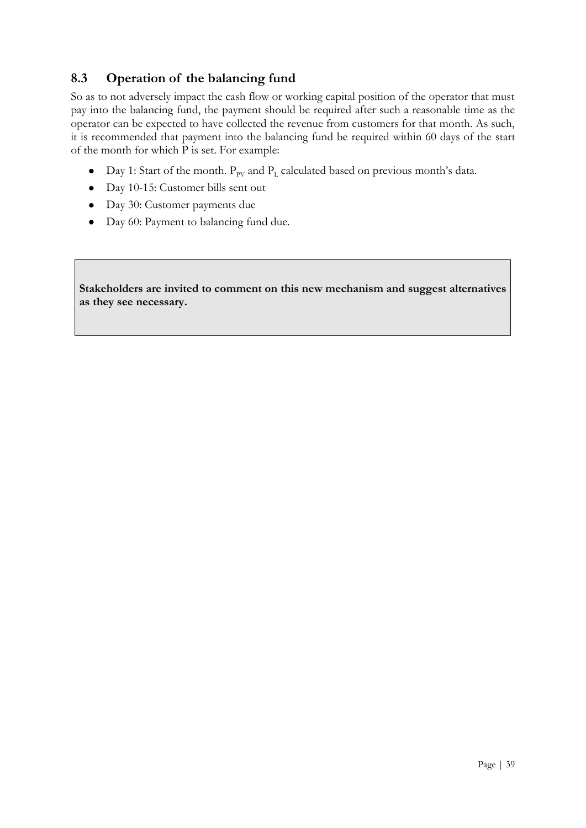#### <span id="page-38-0"></span>**8.3 Operation of the balancing fund**

So as to not adversely impact the cash flow or working capital position of the operator that must pay into the balancing fund, the payment should be required after such a reasonable time as the operator can be expected to have collected the revenue from customers for that month. As such, it is recommended that payment into the balancing fund be required within 60 days of the start of the month for which P is set. For example:

- Day 1: Start of the month.  $P_{PV}$  and  $P_L$  calculated based on previous month's data.
- Day 10-15: Customer bills sent out
- Day 30: Customer payments due
- Day 60: Payment to balancing fund due.

**Stakeholders are invited to comment on this new mechanism and suggest alternatives as they see necessary.**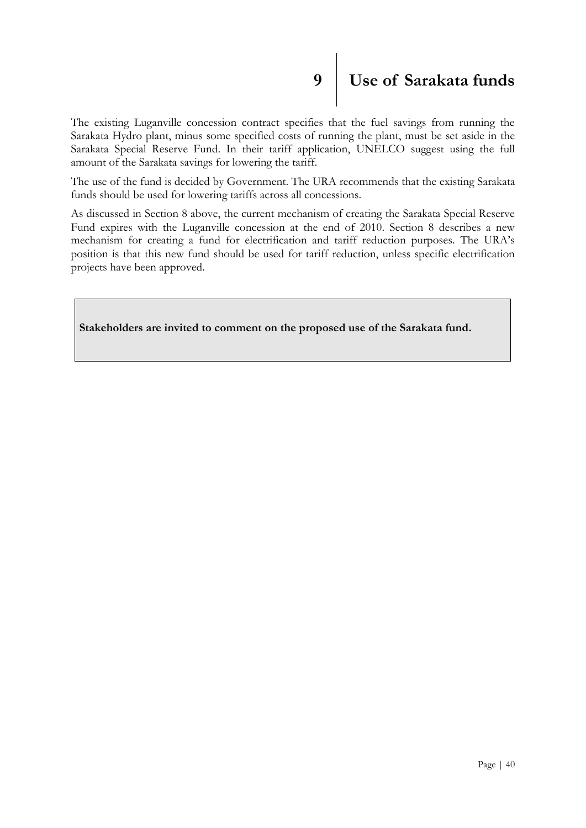# <span id="page-39-0"></span>**9 Use of Sarakata funds**

The existing Luganville concession contract specifies that the fuel savings from running the Sarakata Hydro plant, minus some specified costs of running the plant, must be set aside in the Sarakata Special Reserve Fund. In their tariff application, UNELCO suggest using the full amount of the Sarakata savings for lowering the tariff.

The use of the fund is decided by Government. The URA recommends that the existing Sarakata funds should be used for lowering tariffs across all concessions.

As discussed in Section 8 above, the current mechanism of creating the Sarakata Special Reserve Fund expires with the Luganville concession at the end of 2010. Section 8 describes a new mechanism for creating a fund for electrification and tariff reduction purposes. The URA"s position is that this new fund should be used for tariff reduction, unless specific electrification projects have been approved.

**Stakeholders are invited to comment on the proposed use of the Sarakata fund.**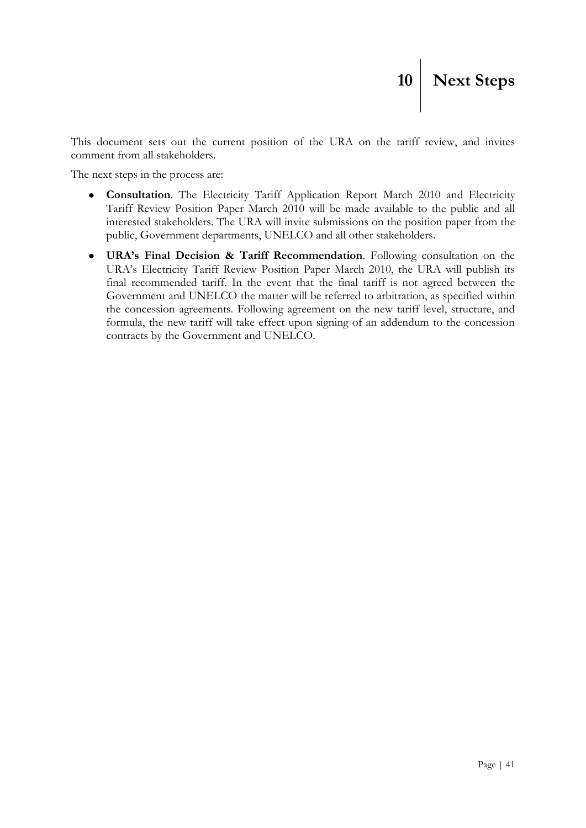This document sets out the current position of the URA on the tariff review, and invites comment from all stakeholders.

The next steps in the process are:

- <span id="page-40-0"></span>**Consultation**. The Electricity Tariff Application Report March 2010 and Electricity  $\bullet$ Tariff Review Position Paper March 2010 will be made available to the public and all interested stakeholders. The URA will invite submissions on the position paper from the public, Government departments, UNELCO and all other stakeholders.
- **URA's Final Decision & Tariff Recommendation**. Following consultation on the  $\bullet$ URA"s Electricity Tariff Review Position Paper March 2010, the URA will publish its final recommended tariff. In the event that the final tariff is not agreed between the Government and UNELCO the matter will be referred to arbitration, as specified within the concession agreements. Following agreement on the new tariff level, structure, and formula, the new tariff will take effect upon signing of an addendum to the concession contracts by the Government and UNELCO.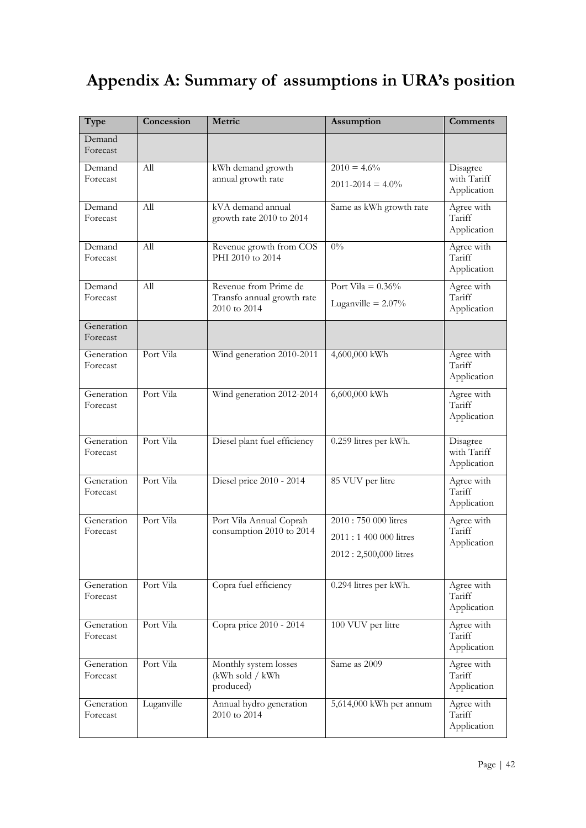## <span id="page-41-0"></span>**Appendix A: Summary of assumptions in URA's position**

| Type                   | Concession       | Metric                                                              | Assumption                                                             | Comments                               |
|------------------------|------------------|---------------------------------------------------------------------|------------------------------------------------------------------------|----------------------------------------|
| Demand<br>Forecast     |                  |                                                                     |                                                                        |                                        |
| Demand<br>Forecast     | All              | kWh demand growth<br>annual growth rate                             | $2010 = 4.6\%$<br>$2011 - 2014 = 4.0\%$                                | Disagree<br>with Tariff<br>Application |
| Demand<br>Forecast     | $\overline{All}$ | kVA demand annual<br>growth rate 2010 to 2014                       | Same as kWh growth rate                                                | Agree with<br>Tariff<br>Application    |
| Demand<br>Forecast     | All              | Revenue growth from COS<br>PHI 2010 to 2014                         | $0\%$                                                                  | Agree with<br>Tariff<br>Application    |
| Demand<br>Forecast     | All              | Revenue from Prime de<br>Transfo annual growth rate<br>2010 to 2014 | Port Vila = $0.36\%$<br>Luganville = $2.07\%$                          | Agree with<br>Tariff<br>Application    |
| Generation<br>Forecast |                  |                                                                     |                                                                        |                                        |
| Generation<br>Forecast | Port Vila        | Wind generation 2010-2011                                           | 4,600,000 kWh                                                          | Agree with<br>Tariff<br>Application    |
| Generation<br>Forecast | Port Vila        | Wind generation 2012-2014                                           | 6,600,000 kWh                                                          | Agree with<br>Tariff<br>Application    |
| Generation<br>Forecast | Port Vila        | Diesel plant fuel efficiency                                        | 0.259 litres per kWh.                                                  | Disagree<br>with Tariff<br>Application |
| Generation<br>Forecast | Port Vila        | Diesel price 2010 - 2014                                            | 85 VUV per litre                                                       | Agree with<br>Tariff<br>Application    |
| Generation<br>Forecast | Port Vila        | Port Vila Annual Coprah<br>consumption 2010 to 2014                 | 2010:750 000 litres<br>2011:1 400 000 litres<br>2012: 2,500,000 litres | Agree with<br>Tariff<br>Application    |
| Generation<br>Forecast | Port Vila        | Copra fuel efficiency                                               | 0.294 litres per kWh.                                                  | Agree with<br>Tariff<br>Application    |
| Generation<br>Forecast | Port Vila        | Copra price 2010 - 2014                                             | 100 VUV per litre                                                      | Agree with<br>Tariff<br>Application    |
| Generation<br>Forecast | Port Vila        | Monthly system losses<br>(kWh sold / kWh<br>produced)               | Same as 2009                                                           | Agree with<br>Tariff<br>Application    |
| Generation<br>Forecast | Luganville       | Annual hydro generation<br>2010 to 2014                             | $5,614,000$ kWh per annum                                              | Agree with<br>Tariff<br>Application    |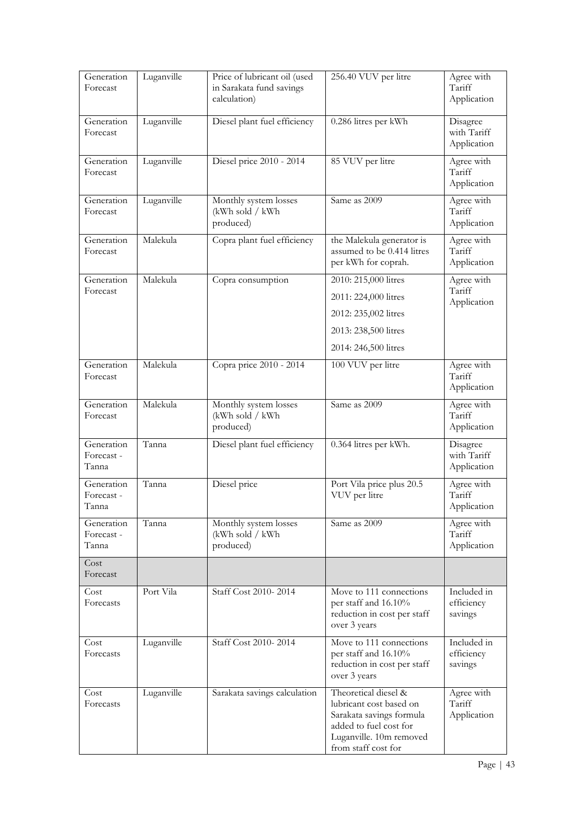| Generation<br>Forecast            | Luganville | Price of lubricant oil (used<br>in Sarakata fund savings<br>calculation) | 256.40 VUV per litre                                                                                                                                    | Agree with<br>Tariff<br>Application    |
|-----------------------------------|------------|--------------------------------------------------------------------------|---------------------------------------------------------------------------------------------------------------------------------------------------------|----------------------------------------|
| Generation<br>Forecast            | Luganville | Diesel plant fuel efficiency                                             | 0.286 litres per kWh                                                                                                                                    | Disagree<br>with Tariff<br>Application |
| Generation<br>Forecast            | Luganville | Diesel price 2010 - 2014                                                 | 85 VUV per litre                                                                                                                                        | Agree with<br>Tariff<br>Application    |
| Generation<br>Forecast            | Luganville | Monthly system losses<br>(kWh sold / kWh<br>produced)                    | Same as 2009                                                                                                                                            | Agree with<br>Tariff<br>Application    |
| Generation<br>Forecast            | Malekula   | Copra plant fuel efficiency                                              | the Malekula generator is<br>assumed to be 0.414 litres<br>per kWh for coprah.                                                                          | Agree with<br>Tariff<br>Application    |
| Generation<br>Forecast            | Malekula   | Copra consumption                                                        | 2010: 215,000 litres<br>2011: 224,000 litres<br>2012: 235,002 litres<br>2013: 238,500 litres<br>2014: 246,500 litres                                    | Agree with<br>Tariff<br>Application    |
| Generation<br>Forecast            | Malekula   | Copra price 2010 - 2014                                                  | 100 VUV per litre                                                                                                                                       | Agree with<br>Tariff<br>Application    |
| Generation<br>Forecast            | Malekula   | Monthly system losses<br>(kWh sold / kWh<br>produced)                    | Same as 2009                                                                                                                                            | Agree with<br>Tariff<br>Application    |
| Generation<br>Forecast -<br>Tanna | Tanna      | Diesel plant fuel efficiency                                             | 0.364 litres per kWh.                                                                                                                                   | Disagree<br>with Tariff<br>Application |
| Generation<br>Forecast -<br>Tanna | Tanna      | Diesel price                                                             | Port Vila price plus 20.5<br>VUV per litre                                                                                                              | Agree with<br>Tariff<br>Application    |
| Generation<br>Forecast-<br>Tanna  | Tanna      | Monthly system losses<br>(kWh sold / kWh<br>produced)                    | Same as 2009                                                                                                                                            | Agree with<br>Tariff<br>Application    |
| Cost<br>Forecast                  |            |                                                                          |                                                                                                                                                         |                                        |
| Cost<br>Forecasts                 | Port Vila  | Staff Cost 2010-2014                                                     | Move to 111 connections<br>per staff and 16.10%<br>reduction in cost per staff<br>over 3 years                                                          | Included in<br>efficiency<br>savings   |
| Cost<br>Forecasts                 | Luganville | Staff Cost 2010-2014                                                     | Move to 111 connections<br>per staff and 16.10%<br>reduction in cost per staff<br>over 3 years                                                          | Included in<br>efficiency<br>savings   |
| Cost<br>Forecasts                 | Luganville | Sarakata savings calculation                                             | Theoretical diesel &<br>lubricant cost based on<br>Sarakata savings formula<br>added to fuel cost for<br>Luganville. 10m removed<br>from staff cost for | Agree with<br>Tariff<br>Application    |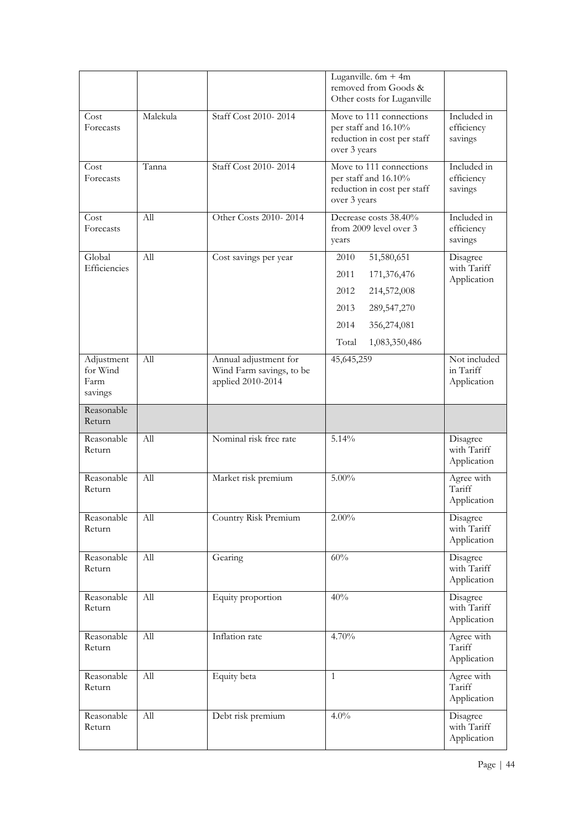|                                           |                  |                                                                        | Luganville. $6m + 4m$<br>removed from Goods &<br>Other costs for Luganville                                                              |                                          |
|-------------------------------------------|------------------|------------------------------------------------------------------------|------------------------------------------------------------------------------------------------------------------------------------------|------------------------------------------|
| Cost<br>Forecasts                         | Malekula         | Staff Cost 2010-2014                                                   | Move to 111 connections<br>per staff and 16.10%<br>reduction in cost per staff<br>over 3 years                                           | Included in<br>efficiency<br>savings     |
| Cost<br>Forecasts                         | Tanna            | Staff Cost 2010-2014                                                   | Move to 111 connections<br>per staff and 16.10%<br>reduction in cost per staff<br>over 3 years                                           | Included in<br>efficiency<br>savings     |
| Cost<br>Forecasts                         | All              | Other Costs 2010-2014                                                  | Decrease costs 38.40%<br>from 2009 level over 3<br>years                                                                                 | Included in<br>efficiency<br>savings     |
| Global<br>Efficiencies                    | All              | Cost savings per year                                                  | 51,580,651<br>2010<br>2011<br>171,376,476<br>2012<br>214,572,008<br>2013<br>289,547,270<br>2014<br>356,274,081<br>Total<br>1,083,350,486 | Disagree<br>with Tariff<br>Application   |
| Adjustment<br>for Wind<br>Farm<br>savings | $\overline{All}$ | Annual adjustment for<br>Wind Farm savings, to be<br>applied 2010-2014 | 45,645,259                                                                                                                               | Not included<br>in Tariff<br>Application |
| Reasonable<br>Return                      |                  |                                                                        |                                                                                                                                          |                                          |
| Reasonable<br>Return                      | All              | Nominal risk free rate                                                 | 5.14%                                                                                                                                    | Disagree<br>with Tariff<br>Application   |
| Reasonable<br>Return                      | All              | Market risk premium                                                    | $5.00\%$                                                                                                                                 | Agree with<br>Tariff<br>Application      |
| Reasonable<br>Return                      | All              | Country Risk Premium                                                   | $2.00\%$                                                                                                                                 | Disagree<br>with Tariff<br>Application   |
| Reasonable<br>Return                      | All              | Gearing                                                                | 60%                                                                                                                                      | Disagree<br>with Tariff<br>Application   |
| Reasonable<br>Return                      | All              | Equity proportion                                                      | 40%                                                                                                                                      | Disagree<br>with Tariff<br>Application   |
| Reasonable<br>Return                      | All              | Inflation rate                                                         | 4.70%                                                                                                                                    | Agree with<br>Tariff<br>Application      |
| Reasonable<br>Return                      | All              | Equity beta                                                            | $\mathbf{1}$                                                                                                                             | Agree with<br>Tariff<br>Application      |
| Reasonable<br>Return                      | All              | Debt risk premium                                                      | 4.0%                                                                                                                                     | Disagree<br>with Tariff<br>Application   |